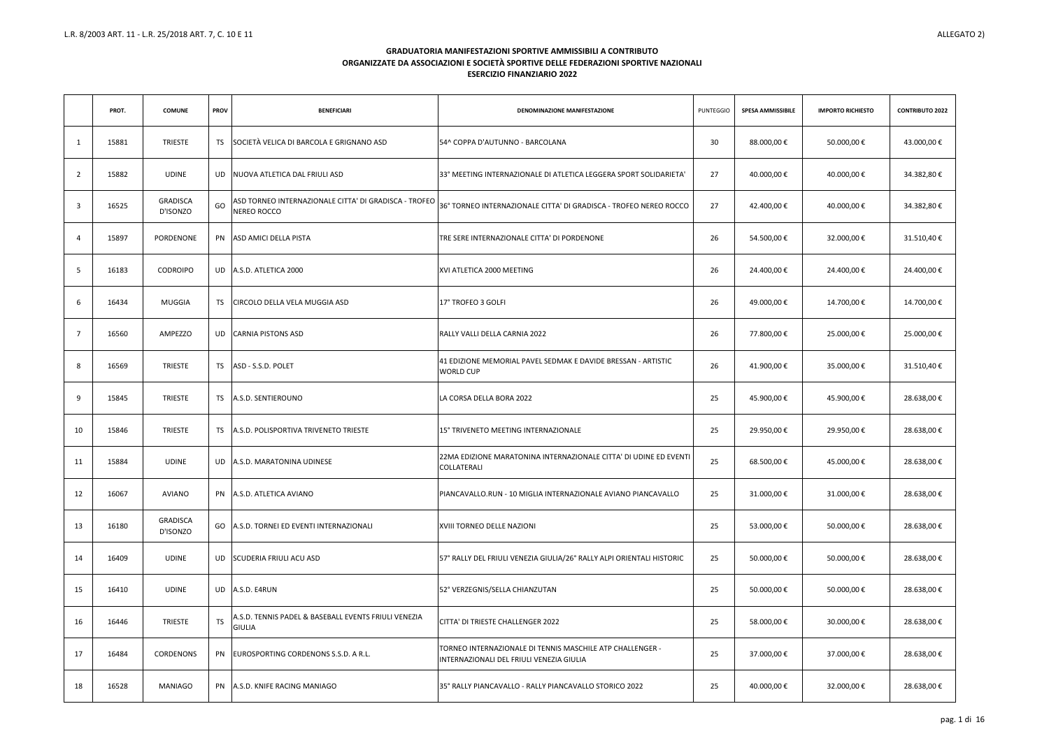|                 | PROT. | <b>COMUNE</b>               | <b>PROV</b> | <b>BENEFICIARI</b>                                                    | DENOMINAZIONE MANIFESTAZIONE                                                                          | <b>PUNTEGGIO</b> | <b>SPESA AMMISSIBILE</b> | <b>IMPORTO RICHIESTO</b> | <b>CONTRIBUTO 2022</b> |
|-----------------|-------|-----------------------------|-------------|-----------------------------------------------------------------------|-------------------------------------------------------------------------------------------------------|------------------|--------------------------|--------------------------|------------------------|
| 1               | 15881 | <b>TRIESTE</b>              | <b>TS</b>   | SOCIETÀ VELICA DI BARCOLA E GRIGNANO ASD                              | 54^ COPPA D'AUTUNNO - BARCOLANA                                                                       | 30               | 88.000,00€               | 50.000,00€               | 43.000,00€             |
| $\overline{2}$  | 15882 | <b>UDINE</b>                | UD.         | NUOVA ATLETICA DAL FRIULI ASD                                         | 33° MEETING INTERNAZIONALE DI ATLETICA LEGGERA SPORT SOLIDARIETA'                                     | 27               | 40.000,00€               | 40.000,00€               | 34.382,80€             |
| $\overline{3}$  | 16525 | <b>GRADISCA</b><br>D'ISONZO | GO          | ASD TORNEO INTERNAZIONALE CITTA' DI GRADISCA - TROFEO<br>NEREO ROCCO  | 36° TORNEO INTERNAZIONALE CITTA' DI GRADISCA - TROFEO NEREO ROCCO                                     | 27               | 42.400,00€               | 40.000,00€               | 34.382,80€             |
| $\overline{4}$  | 15897 | PORDENONE                   |             | PN ASD AMICI DELLA PISTA                                              | TRE SERE INTERNAZIONALE CITTA' DI PORDENONE                                                           | 26               | 54.500,00€               | 32.000,00€               | 31.510,40€             |
| $5\overline{)}$ | 16183 | <b>CODROIPO</b>             |             | UD A.S.D. ATLETICA 2000                                               | XVI ATLETICA 2000 MEETING                                                                             | 26               | 24.400,00€               | 24.400,00 €              | 24.400,00€             |
| 6               | 16434 | MUGGIA                      | TS.         | CIRCOLO DELLA VELA MUGGIA ASD                                         | 17° TROFEO 3 GOLFI                                                                                    | 26               | 49.000,00€               | 14.700,00€               | 14.700,00€             |
| $\overline{7}$  | 16560 | AMPEZZO                     | UD –        | CARNIA PISTONS ASD                                                    | RALLY VALLI DELLA CARNIA 2022                                                                         | 26               | 77.800,00 €              | 25.000,00€               | 25.000,00€             |
| 8               | 16569 | <b>TRIESTE</b>              | TS          | ASD - S.S.D. POLET                                                    | 41 EDIZIONE MEMORIAL PAVEL SEDMAK E DAVIDE BRESSAN - ARTISTIC<br><b>WORLD CUP</b>                     | 26               | 41.900,00€               | 35.000,00€               | 31.510,40€             |
| 9               | 15845 | <b>TRIESTE</b>              | TS I        | A.S.D. SENTIEROUNO                                                    | LA CORSA DELLA BORA 2022                                                                              | 25               | 45.900,00€               | 45.900,00 €              | 28.638,00€             |
| 10              | 15846 | <b>TRIESTE</b>              | <b>TS</b>   | A.S.D. POLISPORTIVA TRIVENETO TRIESTE                                 | 15° TRIVENETO MEETING INTERNAZIONALE                                                                  | 25               | 29.950,00€               | 29.950,00€               | 28.638,00€             |
| 11              | 15884 | <b>UDINE</b>                |             | UD A.S.D. MARATONINA UDINESE                                          | 22MA EDIZIONE MARATONINA INTERNAZIONALE CITTA' DI UDINE ED EVENTI<br>COLLATERALI                      | 25               | 68.500,00€               | 45.000,00€               | 28.638,00€             |
| 12              | 16067 | AVIANO                      |             | PN A.S.D. ATLETICA AVIANO                                             | PIANCAVALLO.RUN - 10 MIGLIA INTERNAZIONALE AVIANO PIANCAVALLO                                         | 25               | 31.000,00€               | 31.000,00 €              | 28.638,00 €            |
| 13              | 16180 | <b>GRADISCA</b><br>D'ISONZO |             | GO A.S.D. TORNEI ED EVENTI INTERNAZIONALI                             | XVIII TORNEO DELLE NAZIONI                                                                            | 25               | 53.000,00€               | 50.000,00€               | 28.638,00 €            |
| 14              | 16409 | <b>UDINE</b>                | UD          | SCUDERIA FRIULI ACU ASD                                               | 57° RALLY DEL FRIULI VENEZIA GIULIA/26° RALLY ALPI ORIENTALI HISTORIC                                 | 25               | 50.000,00€               | 50.000,00€               | 28.638,00 €            |
| 15              | 16410 | <b>UDINE</b>                |             | UD A.S.D. E4RUN                                                       | 52° VERZEGNIS/SELLA CHIANZUTAN                                                                        | 25               | 50.000,00€               | 50.000,00 €              | 28.638,00 €            |
| 16              | 16446 | <b>TRIESTE</b>              | <b>TS</b>   | A.S.D. TENNIS PADEL & BASEBALL EVENTS FRIULI VENEZIA<br><b>GIULIA</b> | CITTA' DI TRIESTE CHALLENGER 2022                                                                     | 25               | 58.000,00€               | 30.000,00 €              | 28.638,00 €            |
| 17              | 16484 | CORDENONS                   |             | PN EUROSPORTING CORDENONS S.S.D. A R.L.                               | TORNEO INTERNAZIONALE DI TENNIS MASCHILE ATP CHALLENGER -<br>INTERNAZIONALI DEL FRIULI VENEZIA GIULIA | 25               | 37.000,00€               | 37.000,00 €              | 28.638,00 €            |
| 18              | 16528 | <b>MANIAGO</b>              |             | PN A.S.D. KNIFE RACING MANIAGO                                        | 35° RALLY PIANCAVALLO - RALLY PIANCAVALLO STORICO 2022                                                | 25               | 40.000,00€               | 32.000,00€               | 28.638,00 €            |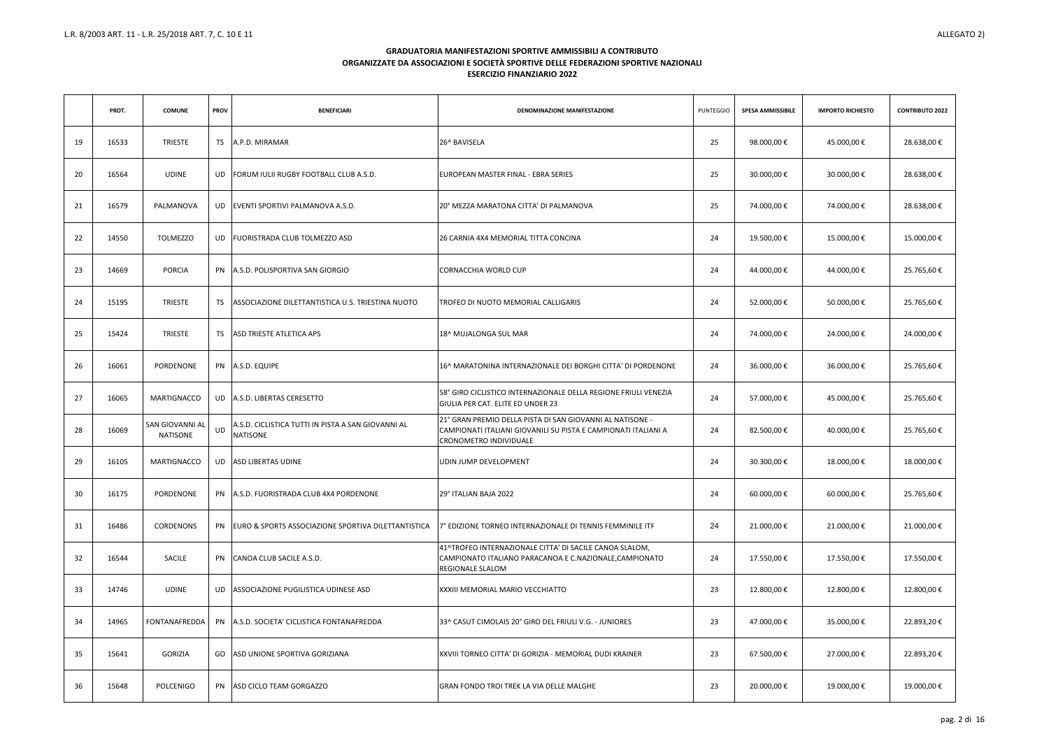|                 | PROT. | <b>COMUNE</b>                      | <b>PROV</b> | <b>BENEFICIARI</b>                                                    | DENOMINAZIONE MANIFESTAZIONE                                                                                                                          | <b>PUNTEGGIO</b> | <b>SPESA AMMISSIBILE</b> | <b>IMPORTO RICHIESTO</b> | <b>CONTRIBUTO 2022</b> |
|-----------------|-------|------------------------------------|-------------|-----------------------------------------------------------------------|-------------------------------------------------------------------------------------------------------------------------------------------------------|------------------|--------------------------|--------------------------|------------------------|
| 19              | 16533 | <b>TRIESTE</b>                     | TS.         | A.P.D. MIRAMAR                                                        | 26^ BAVISELA                                                                                                                                          | 25               | 98.000,00€               | 45.000,00 €              | 28.638,00€             |
| 20              | 16564 | <b>UDINE</b>                       | <b>UD</b>   | FORUM IULII RUGBY FOOTBALL CLUB A.S.D.                                | EUROPEAN MASTER FINAL - EBRA SERIES                                                                                                                   | 25               | 30.000,00€               | 30.000,00 €              | 28.638,00€             |
| 21              | 16579 | PALMANOVA                          |             | UD   EVENTI SPORTIVI PALMANOVA A.S.D.                                 | 20° MEZZA MARATONA CITTA' DI PALMANOVA                                                                                                                | 25               | 74.000,00€               | 74.000,00 €              | 28.638,00€             |
| 22              | 14550 | <b>TOLMEZZO</b>                    | UD.         | FUORISTRADA CLUB TOLMEZZO ASD                                         | 26 CARNIA 4X4 MEMORIAL TITTA CONCINA                                                                                                                  | 24               | 19.500,00€               | 15.000,00€               | 15.000,00€             |
| 23              | 14669 | <b>PORCIA</b>                      |             | PN A.S.D. POLISPORTIVA SAN GIORGIO                                    | CORNACCHIA WORLD CUP                                                                                                                                  | 24               | 44.000,00€               | 44.000,00 €              | 25.765,60€             |
| 24              | 15195 | <b>TRIESTE</b>                     | TS          | ASSOCIAZIONE DILETTANTISTICA U.S. TRIESTINA NUOTO                     | TROFEO DI NUOTO MEMORIAL CALLIGARIS                                                                                                                   | 24               | 52.000,00 €              | 50.000,00 €              | 25.765,60€             |
| 25              | 15424 | <b>TRIESTE</b>                     | TS          | ASD TRIESTE ATLETICA APS                                              | 18^ MUJALONGA SUL MAR                                                                                                                                 | 24               | 74.000,00€               | 24.000,00€               | 24.000,00€             |
| 26              | 16061 | PORDENONE                          |             | PN A.S.D. EQUIPE                                                      | 16^ MARATONINA INTERNAZIONALE DEI BORGHI CITTA' DI PORDENONE                                                                                          | 24               | 36.000,00€               | 36.000,00€               | 25.765,60€             |
| 27              | 16065 | <b>MARTIGNACCO</b>                 |             | UD A.S.D. LIBERTAS CERESETTO                                          | 58° GIRO CICLISTICO INTERNAZIONALE DELLA REGIONE FRIULI VENEZIA<br>GIULIA PER CAT. ELITE ED UNDER 23                                                  | 24               | 57.000,00€               | 45.000,00€               | 25.765,60€             |
| 28              | 16069 | SAN GIOVANNI AL<br><b>NATISONE</b> | UD          | A.S.D. CICLISTICA TUTTI IN PISTA A SAN GIOVANNI AL<br><b>NATISONE</b> | 21° GRAN PREMIO DELLA PISTA DI SAN GIOVANNI AL NATISONE -<br>CAMPIONATI ITALIANI GIOVANILI SU PISTA E CAMPIONATI ITALIANI A<br>CRONOMETRO INDIVIDUALE | 24               | 82.500,00€               | 40.000,00 €              | 25.765,60€             |
| 29              | 16105 | MARTIGNACCO                        |             | UD ASD LIBERTAS UDINE                                                 | <b>UDIN JUMP DEVELOPMENT</b>                                                                                                                          | 24               | 30.300,00€               | 18.000,00€               | 18.000,00€             |
| 30 <sub>o</sub> | 16175 | PORDENONE                          |             | PN A.S.D. FUORISTRADA CLUB 4X4 PORDENONE                              | 29° ITALIAN BAJA 2022                                                                                                                                 | 24               | 60.000,00€               | 60.000,00€               | 25.765,60€             |
| 31              | 16486 | CORDENONS                          |             | PN EURO & SPORTS ASSOCIAZIONE SPORTIVA DILETTANTISTICA                | 7° EDIZIONE TORNEO INTERNAZIONALE DI TENNIS FEMMINILE ITF                                                                                             | 24               | 21.000,00€               | 21.000,00€               | 21.000,00€             |
| 32              | 16544 | SACILE                             | PN          | CANOA CLUB SACILE A.S.D.                                              | 41^TROFEO INTERNAZIONALE CITTA' DI SACILE CANOA SLALOM,<br>CAMPIONATO ITALIANO PARACANOA E C.NAZIONALE, CAMPIONATO<br><b>REGIONALE SLALOM</b>         | 24               | 17.550,00€               | 17.550,00 €              | 17.550,00 €            |
| 33              | 14746 | <b>UDINE</b>                       | UD          | ASSOCIAZIONE PUGILISTICA UDINESE ASD                                  | XXXIII MEMORIAL MARIO VECCHIATTO                                                                                                                      | 23               | 12.800,00€               | 12.800,00 €              | 12.800,00€             |
| 34              | 14965 | <b>FONTANAFREDDA</b>               |             | PN A.S.D. SOCIETA' CICLISTICA FONTANAFREDDA                           | 33^ CASUT CIMOLAIS 20° GIRO DEL FRIULI V.G. - JUNIORES                                                                                                | 23               | 47.000,00€               | 35.000,00€               | 22.893,20€             |
| 35              | 15641 | GORIZIA                            |             | GO ASD UNIONE SPORTIVA GORIZIANA                                      | XXVIII TORNEO CITTA' DI GORIZIA - MEMORIAL DUDI KRAINER                                                                                               | 23               | 67.500,00€               | 27.000,00€               | 22.893,20€             |
| 36              | 15648 | POLCENIGO                          | PN          | ASD CICLO TEAM GORGAZZO                                               | GRAN FONDO TROI TREK LA VIA DELLE MALGHE                                                                                                              | 23               | 20.000,00€               | 19.000,00 €              | 19.000,00 €            |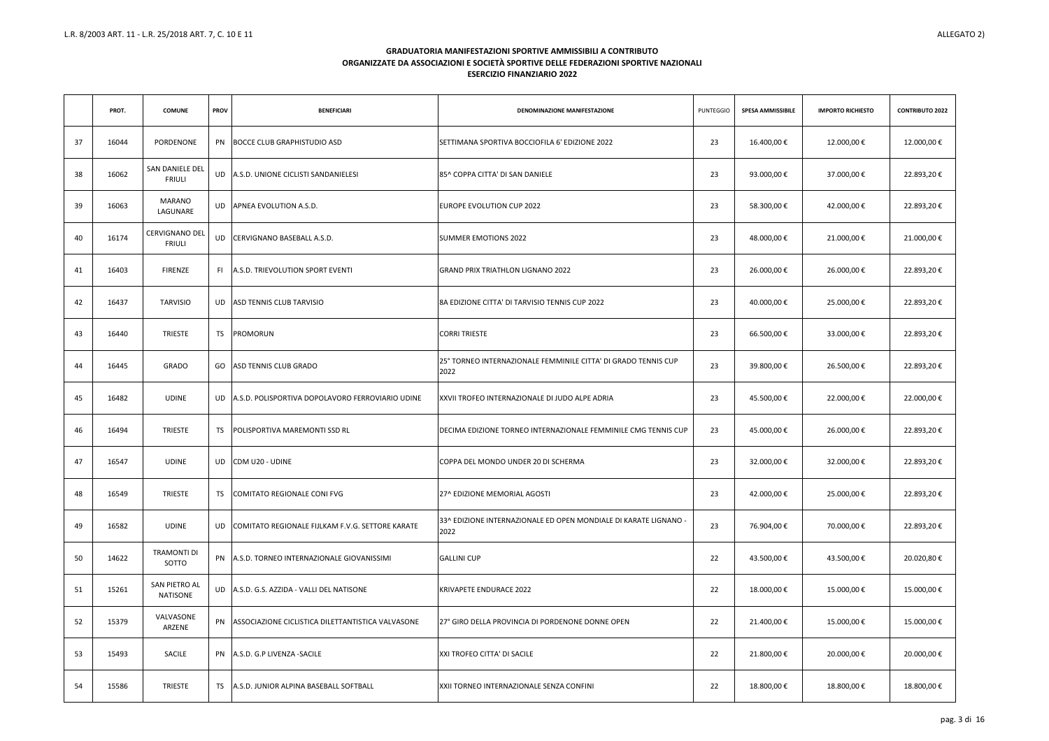|    | PROT. | <b>COMUNE</b>                    | <b>PROV</b> | <b>BENEFICIARI</b>                                   | DENOMINAZIONE MANIFESTAZIONE                                              | <b>PUNTEGGIO</b> | <b>SPESA AMMISSIBILE</b> | <b>IMPORTO RICHIESTO</b> | <b>CONTRIBUTO 2022</b> |
|----|-------|----------------------------------|-------------|------------------------------------------------------|---------------------------------------------------------------------------|------------------|--------------------------|--------------------------|------------------------|
| 37 | 16044 | PORDENONE                        | PN          | <b>BOCCE CLUB GRAPHISTUDIO ASD</b>                   | SETTIMANA SPORTIVA BOCCIOFILA 6' EDIZIONE 2022                            | 23               | 16.400,00€               | 12.000,00€               | 12.000,00€             |
| 38 | 16062 | SAN DANIELE DEL<br><b>FRIULI</b> | UD          | A.S.D. UNIONE CICLISTI SANDANIELESI                  | 85^ COPPA CITTA' DI SAN DANIELE                                           | 23               | 93.000,00€               | 37.000,00 €              | 22.893,20€             |
| 39 | 16063 | <b>MARANO</b><br>LAGUNARE        |             | UD APNEA EVOLUTION A.S.D.                            | <b>EUROPE EVOLUTION CUP 2022</b>                                          | 23               | 58.300,00€               | 42.000,00€               | 22.893,20€             |
| 40 | 16174 | CERVIGNANO DEL<br><b>FRIULI</b>  | <b>UD</b>   | CERVIGNANO BASEBALL A.S.D.                           | <b>SUMMER EMOTIONS 2022</b>                                               | 23               | 48.000,00€               | 21.000,00 €              | 21.000,00€             |
| 41 | 16403 | <b>FIRENZE</b>                   | FI.         | A.S.D. TRIEVOLUTION SPORT EVENTI                     | <b>GRAND PRIX TRIATHLON LIGNANO 2022</b>                                  | 23               | 26.000,00€               | 26.000,00€               | 22.893,20€             |
| 42 | 16437 | <b>TARVISIO</b>                  | UD          | <b>ASD TENNIS CLUB TARVISIO</b>                      | 8A EDIZIONE CITTA' DI TARVISIO TENNIS CUP 2022                            | 23               | 40.000,00€               | 25.000,00 €              | 22.893,20€             |
| 43 | 16440 | <b>TRIESTE</b>                   | TS.         | <b>PROMORUN</b>                                      | <b>CORRI TRIESTE</b>                                                      | 23               | 66.500,00€               | 33.000,00 €              | 22.893,20€             |
| 44 | 16445 | <b>GRADO</b>                     | GO          | ASD TENNIS CLUB GRADO                                | 25° TORNEO INTERNAZIONALE FEMMINILE CITTA' DI GRADO TENNIS CUP<br>2022    | 23               | 39.800,00€               | 26.500,00€               | 22.893,20€             |
| 45 | 16482 | <b>UDINE</b>                     |             | UD A.S.D. POLISPORTIVA DOPOLAVORO FERROVIARIO UDINE  | XXVII TROFEO INTERNAZIONALE DI JUDO ALPE ADRIA                            | 23               | 45.500,00€               | 22.000,00€               | 22.000,00€             |
| 46 | 16494 | <b>TRIESTE</b>                   | TS.         | POLISPORTIVA MAREMONTI SSD RL                        | DECIMA EDIZIONE TORNEO INTERNAZIONALE FEMMINILE CMG TENNIS CUP            | 23               | 45.000,00€               | 26.000,00 €              | 22.893,20€             |
| 47 | 16547 | <b>UDINE</b>                     | UD          | CDM U20 - UDINE                                      | COPPA DEL MONDO UNDER 20 DI SCHERMA                                       | 23               | 32.000,00€               | 32.000,00€               | 22.893,20€             |
| 48 | 16549 | <b>TRIESTE</b>                   | TS.         | COMITATO REGIONALE CONI FVG                          | 27^ EDIZIONE MEMORIAL AGOSTI                                              | 23               | 42.000,00€               | 25.000,00 €              | 22.893,20€             |
| 49 | 16582 | <b>UDINE</b>                     | UD.         | COMITATO REGIONALE FIJLKAM F.V.G. SETTORE KARATE     | 133^ EDIZIONE INTERNAZIONALE ED OPEN MONDIALE DI KARATE LIGNANO -<br>2022 | 23               | 76.904,00€               | 70.000,00€               | 22.893,20€             |
| 50 | 14622 | <b>TRAMONTI DI</b><br>SOTTO      |             | PN A.S.D. TORNEO INTERNAZIONALE GIOVANISSIMI         | <b>GALLINI CUP</b>                                                        | 22               | 43.500,00€               | 43.500,00 €              | 20.020,80€             |
| 51 | 15261 | SAN PIETRO AL<br>NATISONE        |             | UD A.S.D. G.S. AZZIDA - VALLI DEL NATISONE           | KRIVAPETE ENDURACE 2022                                                   | 22               | 18.000,00€               | 15.000,00€               | 15.000,00 €            |
| 52 | 15379 | VALVASONE<br>ARZENE              |             | PN ASSOCIAZIONE CICLISTICA DILETTANTISTICA VALVASONE | 27° GIRO DELLA PROVINCIA DI PORDENONE DONNE OPEN                          | 22               | 21.400,00€               | 15.000,00 €              | 15.000,00 €            |
| 53 | 15493 | SACILE                           |             | PN A.S.D. G.P LIVENZA - SACILE                       | XXI TROFEO CITTA' DI SACILE                                               | 22               | 21.800,00€               | 20.000,00€               | 20.000,00 €            |
| 54 | 15586 | <b>TRIESTE</b>                   | TS.         | A.S.D. JUNIOR ALPINA BASEBALL SOFTBALL               | XXII TORNEO INTERNAZIONALE SENZA CONFINI                                  | 22               | 18.800,00€               | 18.800,00 €              | 18.800,00 €            |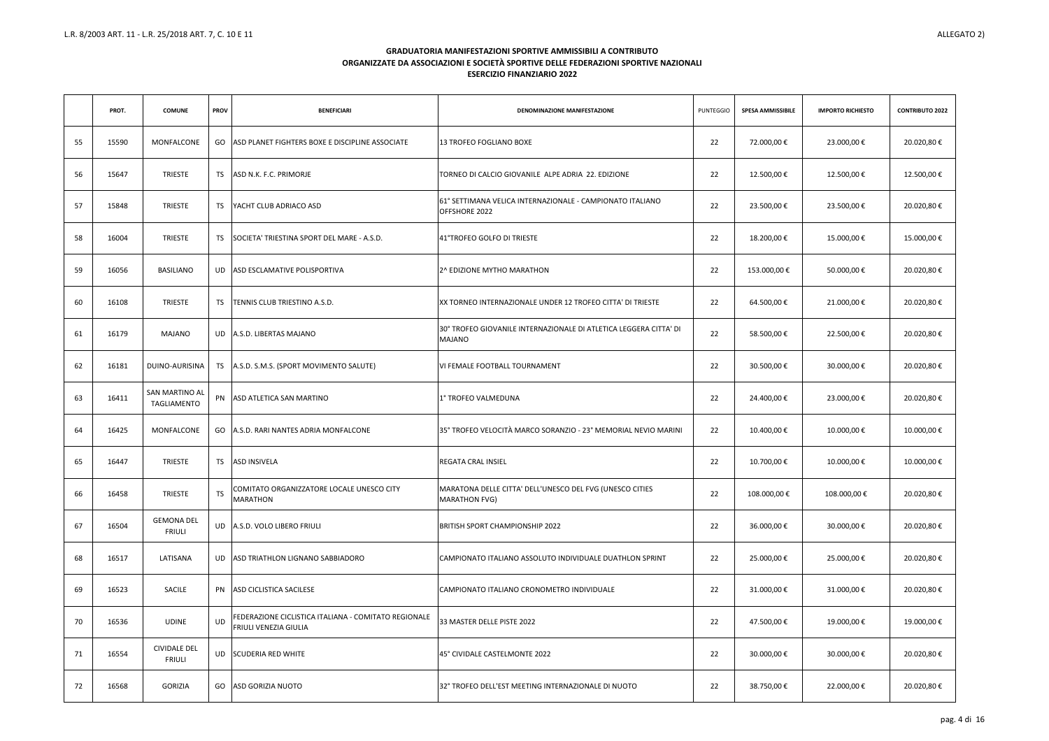|    | PROT. | <b>COMUNE</b>                        | <b>PROV</b> | <b>BENEFICIARI</b>                                                            | DENOMINAZIONE MANIFESTAZIONE                                                       | <b>PUNTEGGIO</b> | <b>SPESA AMMISSIBILE</b> | <b>IMPORTO RICHIESTO</b> | <b>CONTRIBUTO 2022</b> |
|----|-------|--------------------------------------|-------------|-------------------------------------------------------------------------------|------------------------------------------------------------------------------------|------------------|--------------------------|--------------------------|------------------------|
| 55 | 15590 | MONFALCONE                           |             | GO ASD PLANET FIGHTERS BOXE E DISCIPLINE ASSOCIATE                            | 13 TROFEO FOGLIANO BOXE                                                            | 22               | 72.000,00€               | 23.000,00€               | 20.020,80€             |
| 56 | 15647 | <b>TRIESTE</b>                       | TS          | ASD N.K. F.C. PRIMORJE                                                        | TORNEO DI CALCIO GIOVANILE ALPE ADRIA 22. EDIZIONE                                 | 22               | 12.500,00€               | 12.500,00€               | 12.500,00€             |
| 57 | 15848 | TRIESTE                              | TS.         | <b>IYACHT CLUB ADRIACO ASD</b>                                                | 61° SETTIMANA VELICA INTERNAZIONALE - CAMPIONATO ITALIANO<br>OFFSHORE 2022         | 22               | 23.500,00€               | 23.500,00€               | 20.020,80€             |
| 58 | 16004 | <b>TRIESTE</b>                       | TS.         | SOCIETA' TRIESTINA SPORT DEL MARE - A.S.D.                                    | 41°TROFEO GOLFO DI TRIESTE                                                         | 22               | 18.200,00€               | 15.000,00€               | 15.000,00€             |
| 59 | 16056 | <b>BASILIANO</b>                     |             | UD ASD ESCLAMATIVE POLISPORTIVA                                               | 2^ EDIZIONE MYTHO MARATHON                                                         | 22               | 153.000,00€              | 50.000,00€               | 20.020,80€             |
| 60 | 16108 | <b>TRIESTE</b>                       | TS          | TENNIS CLUB TRIESTINO A.S.D.                                                  | <b>XX TORNEO INTERNAZIONALE UNDER 12 TROFEO CITTA' DI TRIESTE</b>                  | 22               | 64.500,00€               | 21.000,00€               | 20.020,80€             |
| 61 | 16179 | <b>MAJANO</b>                        |             | UD A.S.D. LIBERTAS MAJANO                                                     | 30° TROFEO GIOVANILE INTERNAZIONALE DI ATLETICA LEGGERA CITTA' DI<br><b>MAJANO</b> | 22               | 58.500,00€               | 22.500,00 €              | 20.020,80€             |
| 62 | 16181 | DUINO-AURISINA                       |             | TS A.S.D. S.M.S. (SPORT MOVIMENTO SALUTE)                                     | VI FEMALE FOOTBALL TOURNAMENT                                                      | 22               | 30.500,00€               | 30.000,00€               | 20.020,80€             |
| 63 | 16411 | SAN MARTINO AL<br>TAGLIAMENTO        |             | PN ASD ATLETICA SAN MARTINO                                                   | 1° TROFEO VALMEDUNA                                                                | 22               | 24.400,00€               | 23.000,00€               | 20.020,80€             |
| 64 | 16425 | MONFALCONE                           |             | GO A.S.D. RARI NANTES ADRIA MONFALCONE                                        | 35° TROFEO VELOCITÀ MARCO SORANZIO - 23° MEMORIAL NEVIO MARINI                     | 22               | 10.400,00€               | 10.000,00€               | 10.000,00€             |
| 65 | 16447 | <b>TRIESTE</b>                       | <b>TS</b>   | ASD INSIVELA                                                                  | <b>REGATA CRAL INSIEL</b>                                                          | 22               | 10.700,00€               | 10.000,00€               | 10.000,00€             |
| 66 | 16458 | TRIESTE                              | <b>TS</b>   | COMITATO ORGANIZZATORE LOCALE UNESCO CITY<br><b>MARATHON</b>                  | MARATONA DELLE CITTA' DELL'UNESCO DEL FVG (UNESCO CITIES<br><b>MARATHON FVG)</b>   | 22               | 108.000,00€              | 108.000,00€              | 20.020,80€             |
| 67 | 16504 | <b>GEMONA DEL</b><br><b>FRIULI</b>   |             | UD A.S.D. VOLO LIBERO FRIULI                                                  | <b>BRITISH SPORT CHAMPIONSHIP 2022</b>                                             | 22               | 36.000,00€               | 30.000,00€               | 20.020,80€             |
| 68 | 16517 | LATISANA                             |             | UD ASD TRIATHLON LIGNANO SABBIADORO                                           | CAMPIONATO ITALIANO ASSOLUTO INDIVIDUALE DUATHLON SPRINT                           | 22               | 25.000,00€               | 25.000,00 €              | 20.020,80€             |
| 69 | 16523 | SACILE                               |             | PN ASD CICLISTICA SACILESE                                                    | CAMPIONATO ITALIANO CRONOMETRO INDIVIDUALE                                         | 22               | 31.000,00€               | 31.000,00 €              | 20.020,80€             |
| 70 | 16536 | <b>UDINE</b>                         | UD          | FEDERAZIONE CICLISTICA ITALIANA - COMITATO REGIONALE<br>FRIULI VENEZIA GIULIA | 33 MASTER DELLE PISTE 2022                                                         | 22               | 47.500,00€               | 19.000,00€               | 19.000,00€             |
| 71 | 16554 | <b>CIVIDALE DEL</b><br><b>FRIULI</b> |             | UD SCUDERIA RED WHITE                                                         | 45° CIVIDALE CASTELMONTE 2022                                                      | 22               | 30.000,00€               | 30.000,00 €              | 20.020,80€             |
| 72 | 16568 | <b>GORIZIA</b>                       | GO          | ASD GORIZIA NUOTO                                                             | 32° TROFEO DELL'EST MEETING INTERNAZIONALE DI NUOTO                                | 22               | 38.750,00€               | 22.000,00 €              | 20.020,80 €            |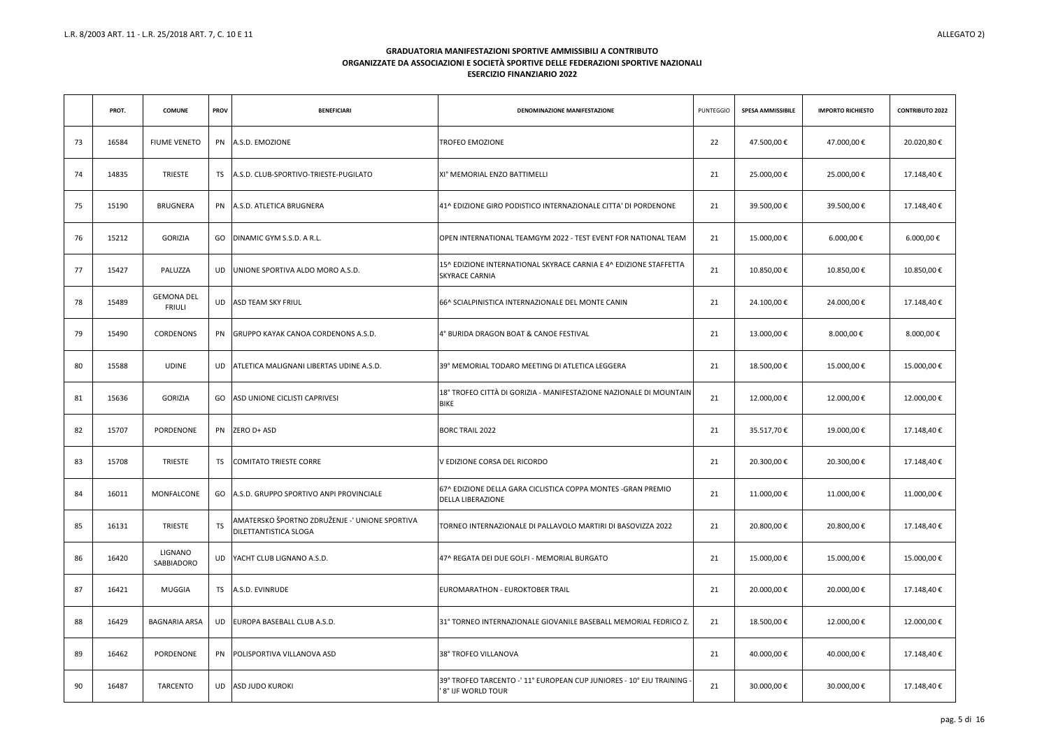|    | PROT. | <b>COMUNE</b>                      | <b>PROV</b> | <b>BENEFICIARI</b>                                                      | DENOMINAZIONE MANIFESTAZIONE                                                                 | <b>PUNTEGGIO</b> | <b>SPESA AMMISSIBILE</b> | <b>IMPORTO RICHIESTO</b> | <b>CONTRIBUTO 2022</b> |
|----|-------|------------------------------------|-------------|-------------------------------------------------------------------------|----------------------------------------------------------------------------------------------|------------------|--------------------------|--------------------------|------------------------|
| 73 | 16584 | <b>FIUME VENETO</b>                |             | PN A.S.D. EMOZIONE                                                      | <b>TROFEO EMOZIONE</b>                                                                       | 22               | 47.500,00€               | 47.000,00 €              | 20.020,80€             |
| 74 | 14835 | <b>TRIESTE</b>                     | TS.         | A.S.D. CLUB-SPORTIVO-TRIESTE-PUGILATO                                   | XI° MEMORIAL ENZO BATTIMELLI                                                                 | 21               | 25.000,00€               | 25.000,00€               | 17.148,40€             |
| 75 | 15190 | <b>BRUGNERA</b>                    |             | PN A.S.D. ATLETICA BRUGNERA                                             | 41^ EDIZIONE GIRO PODISTICO INTERNAZIONALE CITTA' DI PORDENONE                               | 21               | 39.500,00€               | 39.500,00€               | 17.148,40€             |
| 76 | 15212 | GORIZIA                            | GO.         | DINAMIC GYM S.S.D. A R.L.                                               | OPEN INTERNATIONAL TEAMGYM 2022 - TEST EVENT FOR NATIONAL TEAM                               | 21               | 15.000,00€               | 6.000,00 €               | 6.000,00 €             |
| 77 | 15427 | PALUZZA                            | UD          | UNIONE SPORTIVA ALDO MORO A.S.D.                                        | 15^ EDIZIONE INTERNATIONAL SKYRACE CARNIA E 4^ EDIZIONE STAFFETTA<br><b>SKYRACE CARNIA</b>   | 21               | 10.850,00€               | 10.850,00€               | 10.850,00€             |
| 78 | 15489 | <b>GEMONA DEL</b><br><b>FRIULI</b> | UD          | <b>ASD TEAM SKY FRIUL</b>                                               | 166^ SCIALPINISTICA INTERNAZIONALE DEL MONTE CANIN                                           | 21               | 24.100,00 €              | 24.000,00 €              | 17.148,40€             |
| 79 | 15490 | CORDENONS                          |             | PN GRUPPO KAYAK CANOA CORDENONS A.S.D.                                  | 4° BURIDA DRAGON BOAT & CANOE FESTIVAL                                                       | 21               | 13.000,00€               | 8.000,00 €               | 8.000,00 €             |
| 80 | 15588 | <b>UDINE</b>                       | UD          | ATLETICA MALIGNANI LIBERTAS UDINE A.S.D.                                | 39° MEMORIAL TODARO MEETING DI ATLETICA LEGGERA                                              | 21               | 18.500,00€               | 15.000,00€               | 15.000,00€             |
| 81 | 15636 | <b>GORIZIA</b>                     | GO          | <b>ASD UNIONE CICLISTI CAPRIVESI</b>                                    | 18° TROFEO CITTÀ DI GORIZIA - MANIFESTAZIONE NAZIONALE DI MOUNTAIN<br><b>BIKE</b>            | 21               | 12.000,00€               | 12.000,00€               | 12.000,00€             |
| 82 | 15707 | PORDENONE                          |             | PN ZERO D+ ASD                                                          | <b>BORC TRAIL 2022</b>                                                                       | 21               | 35.517,70€               | 19.000,00€               | 17.148,40€             |
| 83 | 15708 | <b>TRIESTE</b>                     | TS          | <b>COMITATO TRIESTE CORRE</b>                                           | V EDIZIONE CORSA DEL RICORDO                                                                 | 21               | 20.300,00€               | 20.300,00€               | 17.148,40€             |
| 84 | 16011 | MONFALCONE                         |             | GO A.S.D. GRUPPO SPORTIVO ANPI PROVINCIALE                              | 67^ EDIZIONE DELLA GARA CICLISTICA COPPA MONTES - GRAN PREMIO<br><b>DELLA LIBERAZIONE</b>    | 21               | 11.000,00€               | 11.000,00 €              | 11.000,00€             |
| 85 | 16131 | <b>TRIESTE</b>                     | <b>TS</b>   | AMATERSKO ŠPORTNO ZDRUŽENJE -' UNIONE SPORTIVA<br>DILETTANTISTICA SLOGA | TORNEO INTERNAZIONALE DI PALLAVOLO MARTIRI DI BASOVIZZA 2022                                 | 21               | 20.800,00€               | 20.800,00€               | 17.148,40€             |
| 86 | 16420 | LIGNANO<br>SABBIADORO              | UD          | YACHT CLUB LIGNANO A.S.D.                                               | 47^ REGATA DEI DUE GOLFI - MEMORIAL BURGATO                                                  | 21               | 15.000,00€               | 15.000,00 €              | 15.000,00€             |
| 87 | 16421 | MUGGIA                             |             | TS A.S.D. EVINRUDE                                                      | EUROMARATHON - EUROKTOBER TRAIL                                                              | 21               | 20.000,00€               | 20.000,00€               | 17.148,40€             |
| 88 | 16429 | BAGNARIA ARSA                      | UD          | EUROPA BASEBALL CLUB A.S.D.                                             | 31° TORNEO INTERNAZIONALE GIOVANILE BASEBALL MEMORIAL FEDRICO Z.                             | 21               | 18.500,00€               | 12.000,00€               | 12.000,00€             |
| 89 | 16462 | PORDENONE                          | PN          | POLISPORTIVA VILLANOVA ASD                                              | 38° TROFEO VILLANOVA                                                                         | 21               | 40.000,00€               | 40.000,00 €              | 17.148,40€             |
| 90 | 16487 | TARCENTO                           | UD          | <b>ASD JUDO KUROKI</b>                                                  | 139° TROFEO TARCENTO -' 11° EUROPEAN CUP JUNIORES - 10° EJU TRAINING -<br>'8° IJF WORLD TOUR | 21               | 30.000,00€               | 30.000,00 €              | 17.148,40 €            |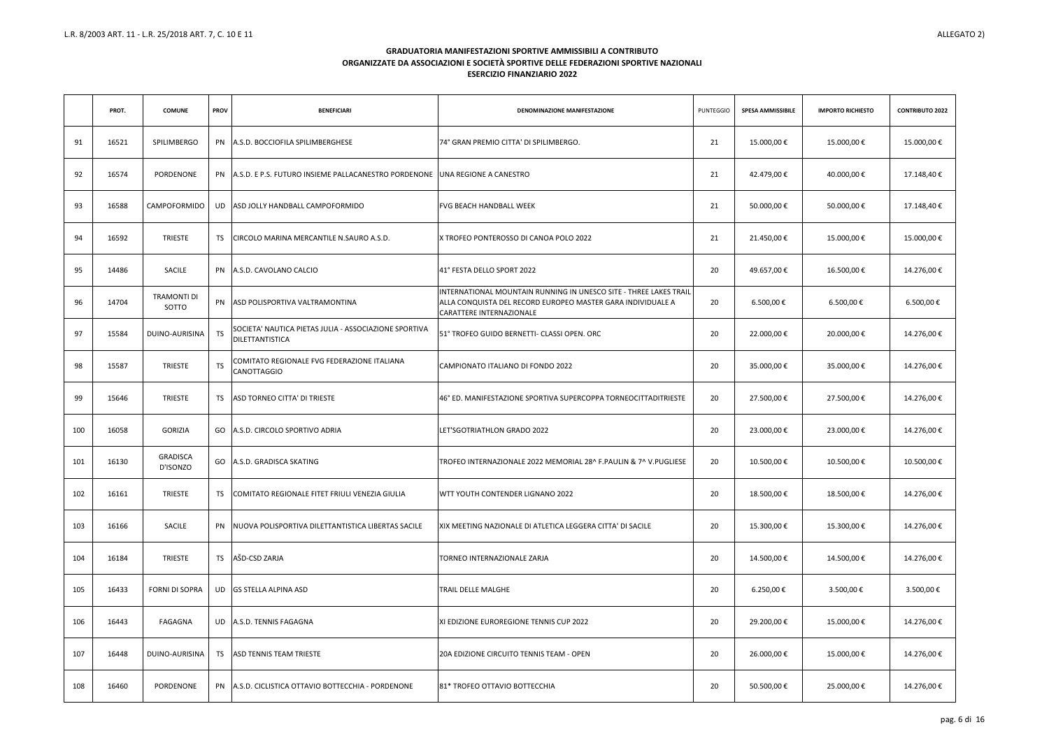|     | PROT. | <b>COMUNE</b>               | <b>PROV</b> | <b>BENEFICIARI</b>                                                                     | DENOMINAZIONE MANIFESTAZIONE                                                                                                                                 | <b>PUNTEGGIO</b> | <b>SPESA AMMISSIBILE</b> | <b>IMPORTO RICHIESTO</b> | <b>CONTRIBUTO 2022</b> |
|-----|-------|-----------------------------|-------------|----------------------------------------------------------------------------------------|--------------------------------------------------------------------------------------------------------------------------------------------------------------|------------------|--------------------------|--------------------------|------------------------|
| 91  | 16521 | SPILIMBERGO                 |             | PN A.S.D. BOCCIOFILA SPILIMBERGHESE                                                    | 74° GRAN PREMIO CITTA' DI SPILIMBERGO.                                                                                                                       | 21               | 15.000,00€               | 15.000,00€               | 15.000,00€             |
| 92  | 16574 | PORDENONE                   |             | <b>PN A.S.D. E P.S. FUTURO INSIEME PALLACANESTRO PORDENONE JUNA REGIONE A CANESTRO</b> |                                                                                                                                                              | 21               | 42.479,00€               | 40.000,00 €              | 17.148,40€             |
| 93  | 16588 | CAMPOFORMIDO                | UD.         | ASD JOLLY HANDBALL CAMPOFORMIDO                                                        | <b>FVG BEACH HANDBALL WEEK</b>                                                                                                                               | 21               | 50.000,00€               | 50.000,00€               | 17.148,40€             |
| 94  | 16592 | <b>TRIESTE</b>              | TS.         | CIRCOLO MARINA MERCANTILE N.SAURO A.S.D.                                               | X TROFEO PONTEROSSO DI CANOA POLO 2022                                                                                                                       | 21               | 21.450,00€               | 15.000,00€               | 15.000,00€             |
| 95  | 14486 | SACILE                      |             | PN A.S.D. CAVOLANO CALCIO                                                              | 41° FESTA DELLO SPORT 2022                                                                                                                                   | 20               | 49.657,00€               | 16.500,00€               | 14.276,00€             |
| 96  | 14704 | <b>TRAMONTI DI</b><br>SOTTO |             | PN ASD POLISPORTIVA VALTRAMONTINA                                                      | INTERNATIONAL MOUNTAIN RUNNING IN UNESCO SITE - THREE LAKES TRAIL<br>ALLA CONQUISTA DEL RECORD EUROPEO MASTER GARA INDIVIDUALE A<br>CARATTERE INTERNAZIONALE | 20               | 6.500,00 €               | 6.500,00 €               | 6.500,00 €             |
| 97  | 15584 | DUINO-AURISINA              | <b>TS</b>   | SOCIETA' NAUTICA PIETAS JULIA - ASSOCIAZIONE SPORTIVA<br>DILETTANTISTICA               | 51° TROFEO GUIDO BERNETTI- CLASSI OPEN. ORC                                                                                                                  | 20               | 22.000,00€               | 20.000,00 €              | 14.276,00€             |
| 98  | 15587 | <b>TRIESTE</b>              | <b>TS</b>   | COMITATO REGIONALE FVG FEDERAZIONE ITALIANA<br>CANOTTAGGIO                             | CAMPIONATO ITALIANO DI FONDO 2022                                                                                                                            | 20               | 35.000,00€               | 35.000,00 €              | 14.276,00€             |
| 99  | 15646 | <b>TRIESTE</b>              | TS.         | ASD TORNEO CITTA' DI TRIESTE                                                           | 46° ED. MANIFESTAZIONE SPORTIVA SUPERCOPPA TORNEOCITTADITRIESTE                                                                                              | 20               | 27.500,00€               | 27.500,00€               | 14.276,00€             |
| 100 | 16058 | <b>GORIZIA</b>              |             | GO A.S.D. CIRCOLO SPORTIVO ADRIA                                                       | LET'SGOTRIATHLON GRADO 2022                                                                                                                                  | 20               | 23.000,00€               | 23.000,00€               | 14.276,00€             |
| 101 | 16130 | <b>GRADISCA</b><br>D'ISONZO |             | GO A.S.D. GRADISCA SKATING                                                             | TROFEO INTERNAZIONALE 2022 MEMORIAL 28^ F. PAULIN & 7^ V. PUGLIESE                                                                                           | 20               | 10.500,00€               | 10.500,00€               | 10.500,00€             |
| 102 | 16161 | <b>TRIESTE</b>              | TS          | COMITATO REGIONALE FITET FRIULI VENEZIA GIULIA                                         | <b>IWTT YOUTH CONTENDER LIGNANO 2022</b>                                                                                                                     | 20               | 18.500,00€               | 18.500,00€               | 14.276,00€             |
| 103 | 16166 | SACILE                      |             | PN   NUOVA POLISPORTIVA DILETTANTISTICA LIBERTAS SACILE                                | XIX MEETING NAZIONALE DI ATLETICA LEGGERA CITTA' DI SACILE                                                                                                   | 20               | 15.300,00€               | 15.300,00€               | 14.276,00€             |
| 104 | 16184 | <b>TRIESTE</b>              | <b>TS</b>   | AŠD-CSD ZARJA                                                                          | TORNEO INTERNAZIONALE ZARJA                                                                                                                                  | 20               | 14.500,00€               | 14.500,00€               | 14.276,00€             |
| 105 | 16433 | FORNI DI SOPRA              |             | UD GS STELLA ALPINA ASD                                                                | <b>TRAIL DELLE MALGHE</b>                                                                                                                                    | 20               | 6.250,00 €               | 3.500,00 €               | 3.500,00 €             |
| 106 | 16443 | FAGAGNA                     |             | UD A.S.D. TENNIS FAGAGNA                                                               | XI EDIZIONE EUROREGIONE TENNIS CUP 2022                                                                                                                      | 20               | 29.200,00€               | 15.000,00€               | 14.276,00 €            |
| 107 | 16448 | DUINO-AURISINA              | TS          | <b>ASD TENNIS TEAM TRIESTE</b>                                                         | 20A EDIZIONE CIRCUITO TENNIS TEAM - OPEN                                                                                                                     | 20               | 26.000,00€               | 15.000,00€               | 14.276,00 €            |
| 108 | 16460 | PORDENONE                   |             | PN A.S.D. CICLISTICA OTTAVIO BOTTECCHIA - PORDENONE                                    | 81* TROFEO OTTAVIO BOTTECCHIA                                                                                                                                | 20               | 50.500,00€               | 25.000,00 €              | 14.276,00 €            |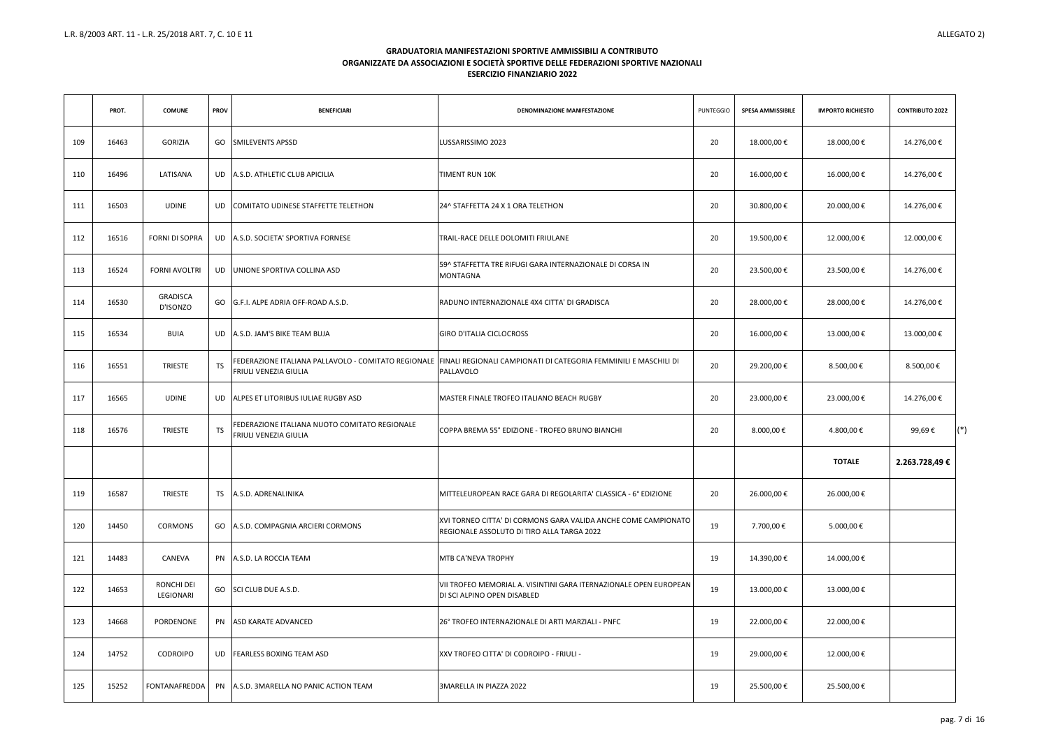|     | PROT. | <b>COMUNE</b>                  | <b>PROV</b> | <b>BENEFICIARI</b>                                                            | DENOMINAZIONE MANIFESTAZIONE                                                                                                      | <b>PUNTEGGIO</b> | <b>SPESA AMMISSIBILE</b> | <b>IMPORTO RICHIESTO</b> | <b>CONTRIBUTO 2022</b> |  |
|-----|-------|--------------------------------|-------------|-------------------------------------------------------------------------------|-----------------------------------------------------------------------------------------------------------------------------------|------------------|--------------------------|--------------------------|------------------------|--|
| 109 | 16463 | GORIZIA                        |             | GO SMILEVENTS APSSD                                                           | LUSSARISSIMO 2023                                                                                                                 | 20               | 18.000,00€               | 18.000,00 €              | 14.276,00 €            |  |
| 110 | 16496 | LATISANA                       |             | UD A.S.D. ATHLETIC CLUB APICILIA                                              | <b>TIMENT RUN 10K</b>                                                                                                             | 20               | 16.000,00€               | 16.000,00 €              | 14.276,00 €            |  |
| 111 | 16503 | UDINE                          |             | UD COMITATO UDINESE STAFFETTE TELETHON                                        | 24^ STAFFETTA 24 X 1 ORA TELETHON                                                                                                 | 20               | 30.800,00€               | 20.000,00 €              | 14.276,00 €            |  |
| 112 | 16516 | FORNI DI SOPRA                 |             | UD A.S.D. SOCIETA' SPORTIVA FORNESE                                           | TRAIL-RACE DELLE DOLOMITI FRIULANE                                                                                                | 20               | 19.500,00€               | 12.000,00 €              | 12.000,00€             |  |
| 113 | 16524 | <b>FORNI AVOLTRI</b>           |             | UD JUNIONE SPORTIVA COLLINA ASD                                               | 59^ STAFFETTA TRE RIFUGI GARA INTERNAZIONALE DI CORSA IN<br><b>MONTAGNA</b>                                                       | 20               | 23.500,00€               | 23.500,00 €              | 14.276,00€             |  |
| 114 | 16530 | GRADISCA<br>D'ISONZO           |             | GO G.F.I. ALPE ADRIA OFF-ROAD A.S.D.                                          | RADUNO INTERNAZIONALE 4X4 CITTA' DI GRADISCA                                                                                      | 20               | 28.000,00€               | 28.000,00 €              | 14.276,00 €            |  |
| 115 | 16534 | BUIA                           |             | UD A.S.D. JAM'S BIKE TEAM BUJA                                                | <b>GIRO D'ITALIA CICLOCROSS</b>                                                                                                   | 20               | 16.000,00€               | 13.000,00 €              | 13.000,00€             |  |
| 116 | 16551 | <b>TRIESTE</b>                 | <b>TS</b>   | <b>FRIULI VENEZIA GIULIA</b>                                                  | FEDERAZIONE ITALIANA PALLAVOLO - COMITATO REGIONALE FINALI REGIONALI CAMPIONATI DI CATEGORIA FEMMINILI E MASCHILI DI<br>PALLAVOLO | 20               | 29.200,00€               | 8.500,00 €               | 8.500,00 €             |  |
| 117 | 16565 | <b>UDINE</b>                   |             | UD ALPES ET LITORIBUS IULIAE RUGBY ASD                                        | <b>MASTER FINALE TROFEO ITALIANO BEACH RUGBY</b>                                                                                  | 20               | 23.000,00€               | 23.000,00 €              | 14.276,00€             |  |
| 118 | 16576 | <b>TRIESTE</b>                 | <b>TS</b>   | FEDERAZIONE ITALIANA NUOTO COMITATO REGIONALE<br><b>FRIULI VENEZIA GIULIA</b> | COPPA BREMA 55° EDIZIONE - TROFEO BRUNO BIANCHI                                                                                   | 20               | 8.000,00 €               | 4.800,00 €               | 99,69€                 |  |
|     |       |                                |             |                                                                               |                                                                                                                                   |                  |                          | <b>TOTALE</b>            | 2.263.728,49€          |  |
| 119 | 16587 | <b>TRIESTE</b>                 |             | TS A.S.D. ADRENALINIKA                                                        | MITTELEUROPEAN RACE GARA DI REGOLARITA' CLASSICA - 6° EDIZIONE                                                                    | 20               | 26.000,00€               | 26.000,00 €              |                        |  |
| 120 | 14450 | CORMONS                        |             | GO A.S.D. COMPAGNIA ARCIERI CORMONS                                           | XVI TORNEO CITTA' DI CORMONS GARA VALIDA ANCHE COME CAMPIONATO<br>REGIONALE ASSOLUTO DI TIRO ALLA TARGA 2022                      | 19               | 7.700,00 €               | 5.000,00 €               |                        |  |
| 121 | 14483 | CANEVA                         |             | PN A.S.D. LA ROCCIA TEAM                                                      | MTB CA'NEVA TROPHY                                                                                                                | 19               | 14.390,00€               | 14.000,00 €              |                        |  |
| 122 | 14653 | <b>RONCHI DEI</b><br>LEGIONARI |             | GO SCI CLUB DUE A.S.D.                                                        | VII TROFEO MEMORIAL A. VISINTINI GARA ITERNAZIONALE OPEN EUROPEAN<br>DI SCI ALPINO OPEN DISABLED                                  | 19               | 13.000,00€               | 13.000,00 €              |                        |  |
| 123 | 14668 | PORDENONE                      |             | PN ASD KARATE ADVANCED                                                        | 26° TROFEO INTERNAZIONALE DI ARTI MARZIALI - PNFC                                                                                 | 19               | 22.000,00€               | 22.000,00 €              |                        |  |
| 124 | 14752 | <b>CODROIPO</b>                |             | UD FEARLESS BOXING TEAM ASD                                                   | XXV TROFEO CITTA' DI CODROIPO - FRIULI -                                                                                          | 19               | 29.000,00€               | 12.000,00 €              |                        |  |
| 125 | 15252 | FONTANAFREDDA                  |             | PN A.S.D. 3MARELLA NO PANIC ACTION TEAM                                       | 3MARELLA IN PIAZZA 2022                                                                                                           | 19               | 25.500,00€               | 25.500,00 €              |                        |  |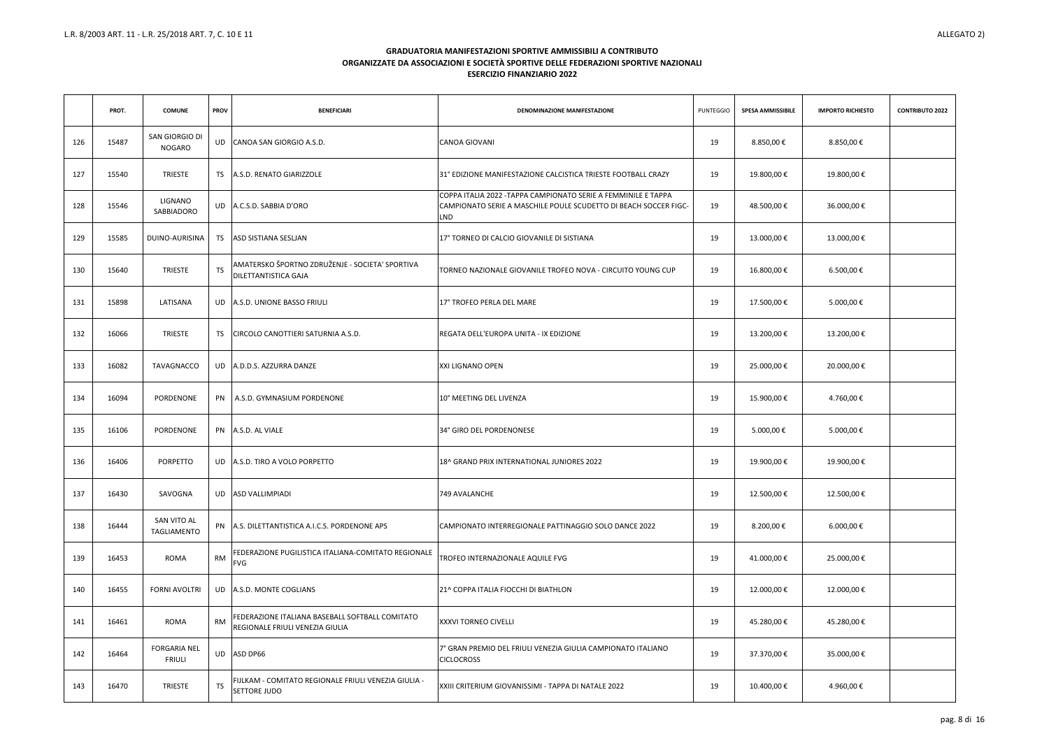|     | PROT. | <b>COMUNE</b>                        | <b>PROV</b> | <b>BENEFICIARI</b>                                                                 | DENOMINAZIONE MANIFESTAZIONE                                                                                                                     | <b>PUNTEGGIO</b> | <b>SPESA AMMISSIBILE</b> | <b>IMPORTO RICHIESTO</b> | <b>CONTRIBUTO 2022</b> |
|-----|-------|--------------------------------------|-------------|------------------------------------------------------------------------------------|--------------------------------------------------------------------------------------------------------------------------------------------------|------------------|--------------------------|--------------------------|------------------------|
| 126 | 15487 | SAN GIORGIO DI<br>NOGARO             |             | UD CANOA SAN GIORGIO A.S.D.                                                        | <b>CANOA GIOVANI</b>                                                                                                                             | 19               | 8.850,00€                | 8.850,00 €               |                        |
| 127 | 15540 | <b>TRIESTE</b>                       |             | TS A.S.D. RENATO GIARIZZOLE                                                        | 31° EDIZIONE MANIFESTAZIONE CALCISTICA TRIESTE FOOTBALL CRAZY                                                                                    | 19               | 19.800,00€               | 19.800,00€               |                        |
| 128 | 15546 | LIGNANO<br>SABBIADORO                |             | UD A.C.S.D. SABBIA D'ORO                                                           | COPPA ITALIA 2022 - TAPPA CAMPIONATO SERIE A FEMMINILE E TAPPA<br>CAMPIONATO SERIE A MASCHILE POULE SCUDETTO DI BEACH SOCCER FIGC-<br><b>LND</b> | 19               | 48.500,00 €              | 36.000,00€               |                        |
| 129 | 15585 | DUINO-AURISINA                       | TS.         | <b>ASD SISTIANA SESLIAN</b>                                                        | 17° TORNEO DI CALCIO GIOVANILE DI SISTIANA                                                                                                       | 19               | 13.000,00€               | 13.000,00€               |                        |
| 130 | 15640 | TRIESTE                              | <b>TS</b>   | AMATERSKO ŠPORTNO ZDRUŽENJE - SOCIETA' SPORTIVA<br><b>DILETTANTISTICA GAJA</b>     | TORNEO NAZIONALE GIOVANILE TROFEO NOVA - CIRCUITO YOUNG CUP                                                                                      | 19               | 16.800,00€               | 6.500,00€                |                        |
| 131 | 15898 | LATISANA                             |             | UD A.S.D. UNIONE BASSO FRIULI                                                      | 17° TROFEO PERLA DEL MARE                                                                                                                        | 19               | 17.500,00€               | 5.000,00 €               |                        |
| 132 | 16066 | TRIESTE                              | TS          | CIRCOLO CANOTTIERI SATURNIA A.S.D.                                                 | REGATA DELL'EUROPA UNITA - IX EDIZIONE                                                                                                           | 19               | 13.200,00€               | 13.200,00€               |                        |
| 133 | 16082 | TAVAGNACCO                           |             | UD A.D.D.S. AZZURRA DANZE                                                          | XXI LIGNANO OPEN                                                                                                                                 | 19               | 25.000,00€               | 20.000,00€               |                        |
| 134 | 16094 | PORDENONE                            |             | PN A.S.D. GYMNASIUM PORDENONE                                                      | 10° MEETING DEL LIVENZA                                                                                                                          | 19               | 15.900,00€               | 4.760,00 €               |                        |
| 135 | 16106 | PORDENONE                            |             | PN A.S.D. AL VIALE                                                                 | 34° GIRO DEL PORDENONESE                                                                                                                         | 19               | 5.000,00 €               | 5.000,00 €               |                        |
| 136 | 16406 | PORPETTO                             |             | UD A.S.D. TIRO A VOLO PORPETTO                                                     | 18^ GRAND PRIX INTERNATIONAL JUNIORES 2022                                                                                                       | 19               | 19.900,00€               | 19.900,00€               |                        |
| 137 | 16430 | SAVOGNA                              |             | UD ASD VALLIMPIADI                                                                 | 749 AVALANCHE                                                                                                                                    | 19               | 12.500,00€               | 12.500,00€               |                        |
| 138 | 16444 | SAN VITO AL<br>TAGLIAMENTO           |             | PN A.S. DILETTANTISTICA A.I.C.S. PORDENONE APS                                     | CAMPIONATO INTERREGIONALE PATTINAGGIO SOLO DANCE 2022                                                                                            | 19               | 8.200,00€                | 6.000,00 €               |                        |
| 139 | 16453 | <b>ROMA</b>                          | <b>RM</b>   | FEDERAZIONE PUGILISTICA ITALIANA-COMITATO REGIONALE<br>FVG                         | TROFEO INTERNAZIONALE AQUILE FVG                                                                                                                 | 19               | 41.000,00€               | 25.000,00€               |                        |
| 140 | 16455 | <b>FORNI AVOLTRI</b>                 |             | UD A.S.D. MONTE COGLIANS                                                           | 21^ COPPA ITALIA FIOCCHI DI BIATHLON                                                                                                             | 19               | 12.000,00€               | 12.000,00€               |                        |
| 141 | 16461 | ROMA                                 | <b>RM</b>   | FEDERAZIONE ITALIANA BASEBALL SOFTBALL COMITATO<br>REGIONALE FRIULI VENEZIA GIULIA | XXXVI TORNEO CIVELLI                                                                                                                             | 19               | 45.280,00€               | 45.280,00€               |                        |
| 142 | 16464 | <b>FORGARIA NEL</b><br><b>FRIULI</b> |             | UD ASD DP66                                                                        | 7° GRAN PREMIO DEL FRIULI VENEZIA GIULIA CAMPIONATO ITALIANO<br><b>CICLOCROSS</b>                                                                | 19               | 37.370,00€               | 35.000,00 €              |                        |
| 143 | 16470 | TRIESTE                              | <b>TS</b>   | IJLKAM - COMITATO REGIONALE FRIULI VENEZIA GIULIA -<br>SETTORE JUDO                | XXIII CRITERIUM GIOVANISSIMI - TAPPA DI NATALE 2022                                                                                              | 19               | 10.400,00€               | 4.960,00 €               |                        |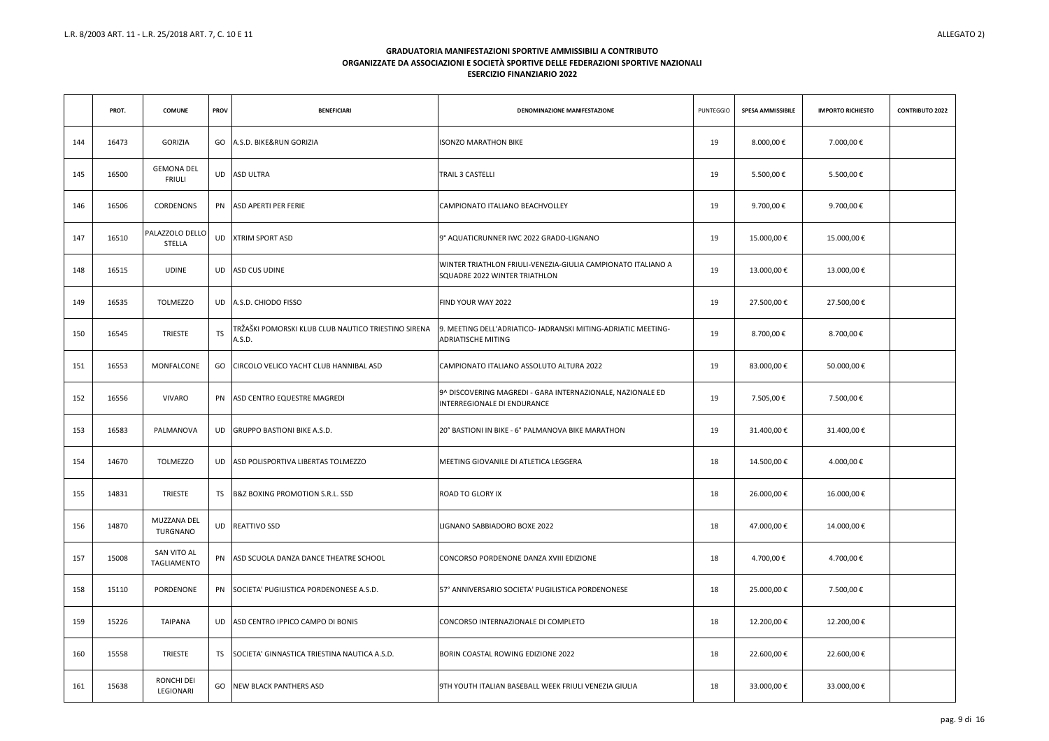|     | PROT. | <b>COMUNE</b>                      | <b>PROV</b> | <b>BENEFICIARI</b>                                            | DENOMINAZIONE MANIFESTAZIONE                                                                  | <b>PUNTEGGIO</b> | <b>SPESA AMMISSIBILE</b> | <b>IMPORTO RICHIESTO</b> | <b>CONTRIBUTO 2022</b> |
|-----|-------|------------------------------------|-------------|---------------------------------------------------------------|-----------------------------------------------------------------------------------------------|------------------|--------------------------|--------------------------|------------------------|
| 144 | 16473 | <b>GORIZIA</b>                     |             | GO A.S.D. BIKE&RUN GORIZIA                                    | <b>ISONZO MARATHON BIKE</b>                                                                   | 19               | 8.000,00 €               | 7.000,00 €               |                        |
| 145 | 16500 | <b>GEMONA DEL</b><br><b>FRIULI</b> |             | UD ASD ULTRA                                                  | <b>TRAIL 3 CASTELLI</b>                                                                       | 19               | 5.500,00 €               | 5.500,00 €               |                        |
| 146 | 16506 | CORDENONS                          |             | PN ASD APERTI PER FERIE                                       | CAMPIONATO ITALIANO BEACHVOLLEY                                                               | 19               | 9.700,00€                | 9.700,00 €               |                        |
| 147 | 16510 | PALAZZOLO DELLO<br><b>STELLA</b>   |             | UD XTRIM SPORT ASD                                            | 9° AQUATICRUNNER IWC 2022 GRADO-LIGNANO                                                       | 19               | 15.000,00€               | 15.000,00€               |                        |
| 148 | 16515 | <b>UDINE</b>                       |             | UD ASD CUS UDINE                                              | WINTER TRIATHLON FRIULI-VENEZIA-GIULIA CAMPIONATO ITALIANO A<br>SQUADRE 2022 WINTER TRIATHLON | 19               | 13.000,00€               | 13.000,00€               |                        |
| 149 | 16535 | <b>TOLMEZZO</b>                    |             | UD A.S.D. CHIODO FISSO                                        | FIND YOUR WAY 2022                                                                            | 19               | 27.500,00 €              | 27.500,00€               |                        |
| 150 | 16545 | <b>TRIESTE</b>                     | TS          | TRŽAŠKI POMORSKI KLUB CLUB NAUTICO TRIESTINO SIRENA<br>A.S.D. | 9. MEETING DELL'ADRIATICO- JADRANSKI MITING-ADRIATIC MEETING-<br><b>ADRIATISCHE MITING</b>    | 19               | 8.700,00 €               | 8.700,00 €               |                        |
| 151 | 16553 | MONFALCONE                         |             | GO CIRCOLO VELICO YACHT CLUB HANNIBAL ASD                     | CAMPIONATO ITALIANO ASSOLUTO ALTURA 2022                                                      | 19               | 83.000,00€               | 50.000,00€               |                        |
| 152 | 16556 | VIVARO                             |             | PN ASD CENTRO EQUESTRE MAGREDI                                | 9^ DISCOVERING MAGREDI - GARA INTERNAZIONALE, NAZIONALE ED<br>INTERREGIONALE DI ENDURANCE     | 19               | 7.505,00 €               | 7.500,00 €               |                        |
| 153 | 16583 | PALMANOVA                          |             | UD GRUPPO BASTIONI BIKE A.S.D.                                | 20° BASTIONI IN BIKE - 6° PALMANOVA BIKE MARATHON                                             | 19               | 31.400,00 €              | 31.400,00 €              |                        |
| 154 | 14670 | <b>TOLMEZZO</b>                    |             | UD ASD POLISPORTIVA LIBERTAS TOLMEZZO                         | MEETING GIOVANILE DI ATLETICA LEGGERA                                                         | 18               | 14.500,00€               | 4.000,00 €               |                        |
| 155 | 14831 | <b>TRIESTE</b>                     | TS          | B&Z BOXING PROMOTION S.R.L. SSD                               | <b>ROAD TO GLORY IX</b>                                                                       | 18               | 26.000,00€               | 16.000,00€               |                        |
| 156 | 14870 | MUZZANA DEL<br>TURGNANO            |             | UD REATTIVO SSD                                               | LIGNANO SABBIADORO BOXE 2022                                                                  | 18               | 47.000,00 €              | 14.000,00 €              |                        |
| 157 | 15008 | SAN VITO AL<br>TAGLIAMENTO         |             | PN ASD SCUOLA DANZA DANCE THEATRE SCHOOL                      | CONCORSO PORDENONE DANZA XVIII EDIZIONE                                                       | 18               | 4.700,00 €               | 4.700,00 €               |                        |
| 158 | 15110 | PORDENONE                          |             | PN SOCIETA' PUGILISTICA PORDENONESE A.S.D.                    | 57° ANNIVERSARIO SOCIETA' PUGILISTICA PORDENONESE                                             | 18               | 25.000,00€               | 7.500,00 €               |                        |
| 159 | 15226 | TAIPANA                            |             | UD ASD CENTRO IPPICO CAMPO DI BONIS                           | CONCORSO INTERNAZIONALE DI COMPLETO                                                           | 18               | 12.200,00€               | 12.200,00€               |                        |
| 160 | 15558 | <b>TRIESTE</b>                     | <b>TS</b>   | SOCIETA' GINNASTICA TRIESTINA NAUTICA A.S.D.                  | <b>BORIN COASTAL ROWING EDIZIONE 2022</b>                                                     | 18               | 22.600,00€               | 22.600,00€               |                        |
| 161 | 15638 | RONCHI DEI<br>LEGIONARI            | GO          | <b>NEW BLACK PANTHERS ASD</b>                                 | 9TH YOUTH ITALIAN BASEBALL WEEK FRIULI VENEZIA GIULIA                                         | 18               | 33.000,00 €              | 33.000,00 €              |                        |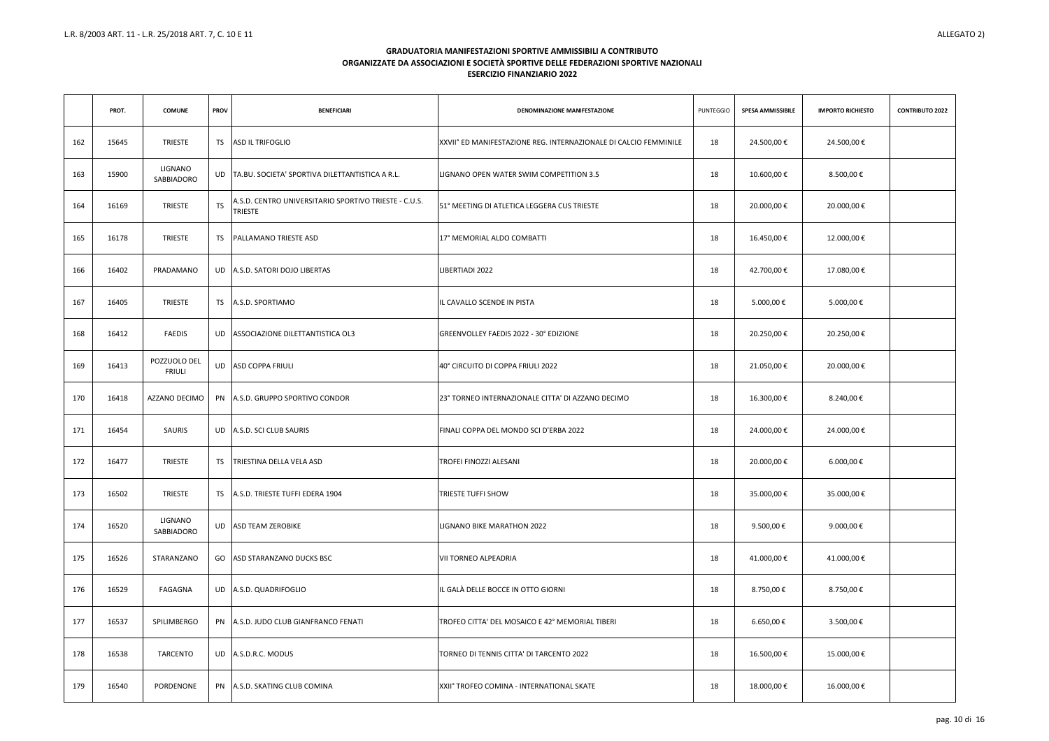|     | PROT. | <b>COMUNE</b>                 | <b>PROV</b> | <b>BENEFICIARI</b>                                                      | DENOMINAZIONE MANIFESTAZIONE                                     | <b>PUNTEGGIO</b> | <b>SPESA AMMISSIBILE</b> | <b>IMPORTO RICHIESTO</b> | <b>CONTRIBUTO 2022</b> |
|-----|-------|-------------------------------|-------------|-------------------------------------------------------------------------|------------------------------------------------------------------|------------------|--------------------------|--------------------------|------------------------|
| 162 | 15645 | <b>TRIESTE</b>                | <b>TS</b>   | ASD IL TRIFOGLIO                                                        | XXVII° ED MANIFESTAZIONE REG. INTERNAZIONALE DI CALCIO FEMMINILE | 18               | 24.500,00€               | 24.500,00€               |                        |
| 163 | 15900 | LIGNANO<br>SABBIADORO         | <b>UD</b>   | TA.BU. SOCIETA' SPORTIVA DILETTANTISTICA A R.L.                         | LIGNANO OPEN WATER SWIM COMPETITION 3.5                          | 18               | 10.600,00€               | 8.500,00 €               |                        |
| 164 | 16169 | <b>TRIESTE</b>                | TS          | A.S.D. CENTRO UNIVERSITARIO SPORTIVO TRIESTE - C.U.S.<br><b>TRIESTE</b> | 51° MEETING DI ATLETICA LEGGERA CUS TRIESTE                      | 18               | 20.000,00€               | 20.000,00€               |                        |
| 165 | 16178 | <b>TRIESTE</b>                | TS.         | <b>PALLAMANO TRIESTE ASD</b>                                            | 17° MEMORIAL ALDO COMBATTI                                       | 18               | 16.450,00€               | 12.000,00€               |                        |
| 166 | 16402 | PRADAMANO                     |             | UD A.S.D. SATORI DOJO LIBERTAS                                          | LIBERTIADI 2022                                                  | 18               | 42.700,00€               | 17.080,00€               |                        |
| 167 | 16405 | <b>TRIESTE</b>                |             | TS A.S.D. SPORTIAMO                                                     | L CAVALLO SCENDE IN PISTA                                        | 18               | 5.000,00 €               | 5.000,00 €               |                        |
| 168 | 16412 | <b>FAEDIS</b>                 | UD          | ASSOCIAZIONE DILETTANTISTICA OL3                                        | GREENVOLLEY FAEDIS 2022 - 30° EDIZIONE                           | 18               | 20.250,00€               | 20.250,00€               |                        |
| 169 | 16413 | POZZUOLO DEL<br><b>FRIULI</b> |             | UD ASD COPPA FRIULI                                                     | 40° CIRCUITO DI COPPA FRIULI 2022                                | 18               | 21.050,00€               | 20.000,00€               |                        |
| 170 | 16418 | AZZANO DECIMO                 |             | PN A.S.D. GRUPPO SPORTIVO CONDOR                                        | 23° TORNEO INTERNAZIONALE CITTA' DI AZZANO DECIMO                | 18               | 16.300,00€               | 8.240,00€                |                        |
| 171 | 16454 | SAURIS                        |             | UD A.S.D. SCI CLUB SAURIS                                               | FINALI COPPA DEL MONDO SCI D'ERBA 2022                           | 18               | 24.000,00€               | 24.000,00 €              |                        |
| 172 | 16477 | <b>TRIESTE</b>                | <b>TS</b>   | TRIESTINA DELLA VELA ASD                                                | TROFEI FINOZZI ALESANI                                           | 18               | 20.000,00€               | $6.000,00 \in$           |                        |
| 173 | 16502 | TRIESTE                       |             | TS A.S.D. TRIESTE TUFFI EDERA 1904                                      | <b>TRIESTE TUFFI SHOW</b>                                        | 18               | 35.000,00€               | 35.000,00€               |                        |
| 174 | 16520 | LIGNANO<br>SABBIADORO         |             | UD ASD TEAM ZEROBIKE                                                    | LIGNANO BIKE MARATHON 2022                                       | 18               | 9.500,00 €               | 9.000,00 €               |                        |
| 175 | 16526 | STARANZANO                    |             | GO ASD STARANZANO DUCKS BSC                                             | <b>VII TORNEO ALPEADRIA</b>                                      | 18               | 41.000,00€               | 41.000,00€               |                        |
| 176 | 16529 | FAGAGNA                       |             | UD A.S.D. QUADRIFOGLIO                                                  | IL GALÀ DELLE BOCCE IN OTTO GIORNI                               | 18               | 8.750,00 €               | 8.750,00 €               |                        |
| 177 | 16537 | SPILIMBERGO                   |             | PN A.S.D. JUDO CLUB GIANFRANCO FENATI                                   | TROFEO CITTA' DEL MOSAICO E 42° MEMORIAL TIBERI                  | 18               | 6.650,00€                | 3.500,00 €               |                        |
| 178 | 16538 | TARCENTO                      |             | UD A.S.D.R.C. MODUS                                                     | TORNEO DI TENNIS CITTA' DI TARCENTO 2022                         | 18               | 16.500,00€               | 15.000,00 €              |                        |
| 179 | 16540 | PORDENONE                     |             | PN A.S.D. SKATING CLUB COMINA                                           | XXII° TROFEO COMINA - INTERNATIONAL SKATE                        | 18               | 18.000,00€               | 16.000,00€               |                        |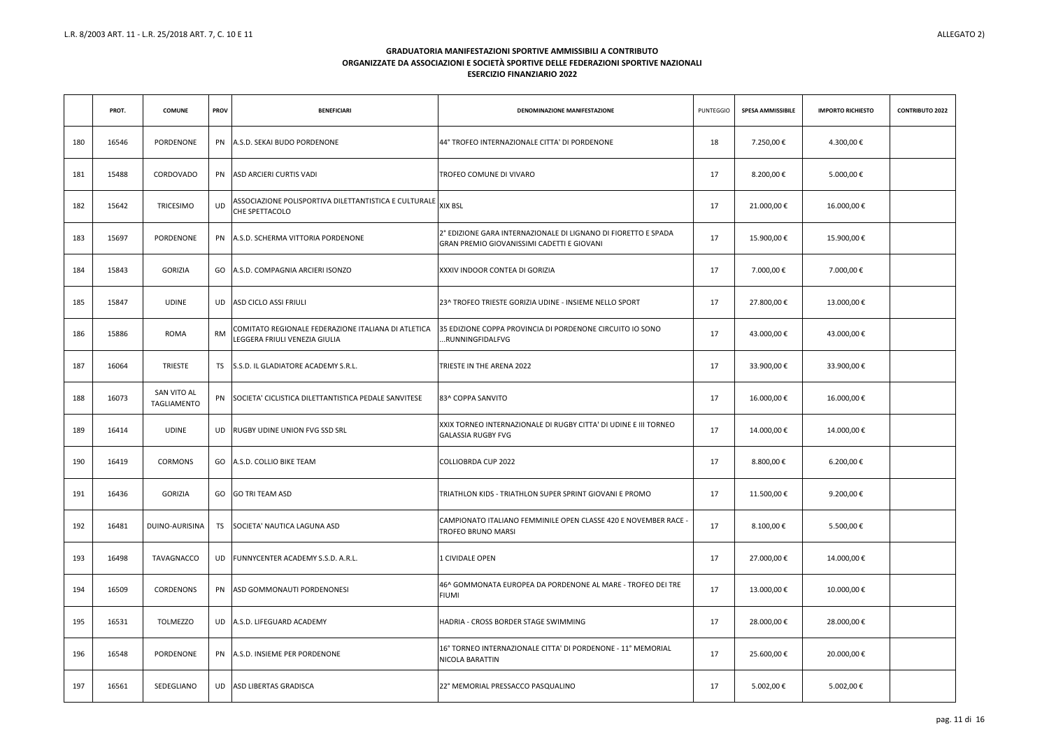|     | PROT. | <b>COMUNE</b>              | <b>PROV</b> | <b>BENEFICIARI</b>                                                                   | DENOMINAZIONE MANIFESTAZIONE                                                                                  | <b>PUNTEGGIO</b> | <b>SPESA AMMISSIBILE</b> | <b>IMPORTO RICHIESTO</b> | <b>CONTRIBUTO 2022</b> |
|-----|-------|----------------------------|-------------|--------------------------------------------------------------------------------------|---------------------------------------------------------------------------------------------------------------|------------------|--------------------------|--------------------------|------------------------|
| 180 | 16546 | PORDENONE                  |             | PN A.S.D. SEKAI BUDO PORDENONE                                                       | 44° TROFEO INTERNAZIONALE CITTA' DI PORDENONE                                                                 | 18               | 7.250,00€                | 4.300,00 €               |                        |
| 181 | 15488 | CORDOVADO                  |             | PN ASD ARCIERI CURTIS VADI                                                           | <b>TROFEO COMUNE DI VIVARO</b>                                                                                | 17               | 8.200,00€                | 5.000,00 €               |                        |
| 182 | 15642 | TRICESIMO                  | <b>UD</b>   | ASSOCIAZIONE POLISPORTIVA DILETTANTISTICA E CULTURALE<br>CHE SPETTACOLO              | <b>XIX BSL</b>                                                                                                | 17               | 21.000,00€               | 16.000,00€               |                        |
| 183 | 15697 | PORDENONE                  |             | PN A.S.D. SCHERMA VITTORIA PORDENONE                                                 | 2° EDIZIONE GARA INTERNAZIONALE DI LIGNANO DI FIORETTO E SPADA<br>IGRAN PREMIO GIOVANISSIMI CADETTI E GIOVANI | 17               | 15.900,00€               | 15.900,00€               |                        |
| 184 | 15843 | <b>GORIZIA</b>             |             | GO A.S.D. COMPAGNIA ARCIERI ISONZO                                                   | XXXIV INDOOR CONTEA DI GORIZIA                                                                                | 17               | 7.000,00 €               | 7.000,00 €               |                        |
| 185 | 15847 | <b>UDINE</b>               |             | UD ASD CICLO ASSI FRIULI                                                             | 123^ TROFEO TRIESTE GORIZIA UDINE - INSIEME NELLO SPORT                                                       | 17               | 27.800,00 €              | 13.000,00€               |                        |
| 186 | 15886 | <b>ROMA</b>                | <b>RM</b>   | COMITATO REGIONALE FEDERAZIONE ITALIANA DI ATLETICA<br>LEGGERA FRIULI VENEZIA GIULIA | 35 EDIZIONE COPPA PROVINCIA DI PORDENONE CIRCUITO IO SONO<br>RUNNINGFIDALFVG                                  | 17               | 43.000,00 €              | 43.000,00 €              |                        |
| 187 | 16064 | TRIESTE                    |             | TS S.S.D. IL GLADIATORE ACADEMY S.R.L.                                               | TRIESTE IN THE ARENA 2022                                                                                     | 17               | 33.900,00 €              | 33.900,00 €              |                        |
| 188 | 16073 | SAN VITO AL<br>TAGLIAMENTO |             | PN SOCIETA' CICLISTICA DILETTANTISTICA PEDALE SANVITESE                              | 83^ COPPA SANVITO                                                                                             | 17               | 16.000,00 €              | 16.000,00 €              |                        |
| 189 | 16414 | <b>UDINE</b>               |             | UD RUGBY UDINE UNION FVG SSD SRL                                                     | XXIX TORNEO INTERNAZIONALE DI RUGBY CITTA' DI UDINE E III TORNEO<br><b>GALASSIA RUGBY FVG</b>                 | 17               | 14.000,00 €              | 14.000,00 €              |                        |
| 190 | 16419 | <b>CORMONS</b>             |             | GO A.S.D. COLLIO BIKE TEAM                                                           | <b>COLLIOBRDA CUP 2022</b>                                                                                    | 17               | 8.800,00€                | 6.200,00€                |                        |
| 191 | 16436 | <b>GORIZIA</b>             |             | GO GO TRI TEAM ASD                                                                   | TRIATHLON KIDS - TRIATHLON SUPER SPRINT GIOVANI E PROMO                                                       | 17               | 11.500,00€               | 9.200,00 €               |                        |
| 192 | 16481 | DUINO-AURISINA             |             | TS SOCIETA' NAUTICA LAGUNA ASD                                                       | CAMPIONATO ITALIANO FEMMINILE OPEN CLASSE 420 E NOVEMBER RACE -<br><b>TROFEO BRUNO MARSI</b>                  | 17               | 8.100,00 €               | 5.500,00 €               |                        |
| 193 | 16498 | TAVAGNACCO                 |             | UD FUNNYCENTER ACADEMY S.S.D. A.R.L.                                                 | 1 CIVIDALE OPEN                                                                                               | 17               | 27.000,00€               | 14.000,00 €              |                        |
| 194 | 16509 | CORDENONS                  |             | PN ASD GOMMONAUTI PORDENONESI                                                        | 46^ GOMMONATA EUROPEA DA PORDENONE AL MARE - TROFEO DEI TRE<br><b>FIUMI</b>                                   | 17               | 13.000,00€               | 10.000,00€               |                        |
| 195 | 16531 | <b>TOLMEZZO</b>            |             | UD A.S.D. LIFEGUARD ACADEMY                                                          | HADRIA - CROSS BORDER STAGE SWIMMING                                                                          | 17               | 28.000,00€               | 28.000,00€               |                        |
| 196 | 16548 | PORDENONE                  |             | PN A.S.D. INSIEME PER PORDENONE                                                      | 16° TORNEO INTERNAZIONALE CITTA' DI PORDENONE - 11° MEMORIAL<br>NICOLA BARATTIN                               | 17               | 25.600,00€               | 20.000,00€               |                        |
| 197 | 16561 | SEDEGLIANO                 |             | UD ASD LIBERTAS GRADISCA                                                             | 22° MEMORIAL PRESSACCO PASQUALINO                                                                             | 17               | 5.002,00 €               | 5.002,00 €               |                        |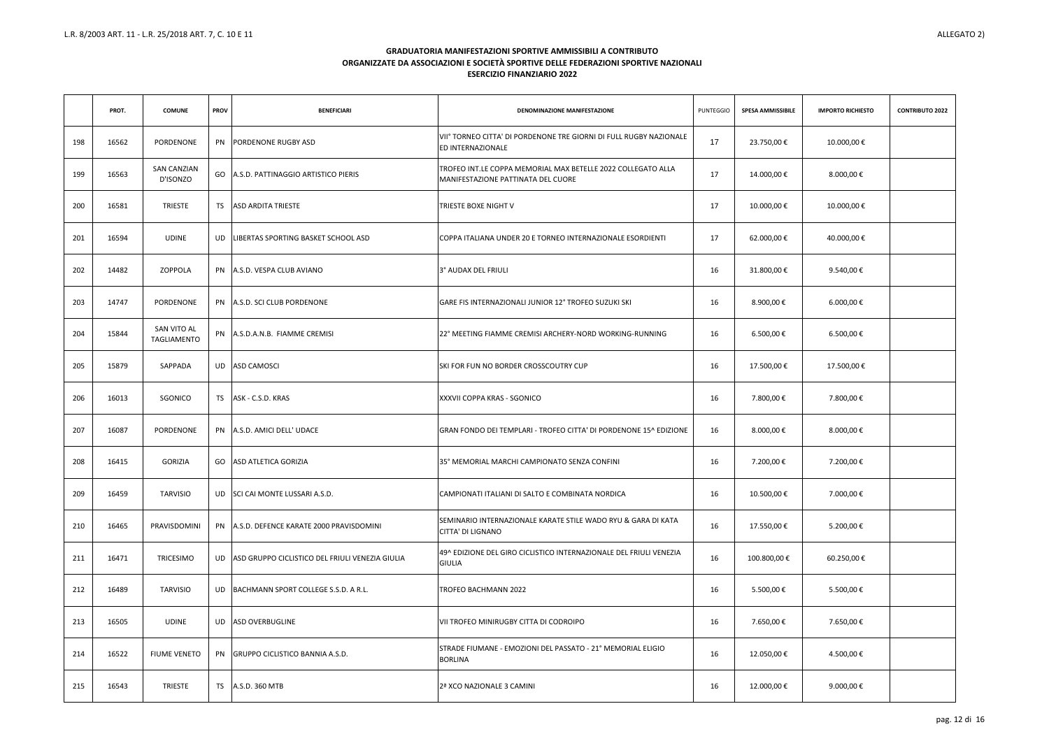|     | PROT. | <b>COMUNE</b>                  | <b>PROV</b> | <b>BENEFICIARI</b>                                 | DENOMINAZIONE MANIFESTAZIONE                                                                       | <b>PUNTEGGIO</b> | <b>SPESA AMMISSIBILE</b> | <b>IMPORTO RICHIESTO</b> | <b>CONTRIBUTO 2022</b> |
|-----|-------|--------------------------------|-------------|----------------------------------------------------|----------------------------------------------------------------------------------------------------|------------------|--------------------------|--------------------------|------------------------|
| 198 | 16562 | PORDENONE                      |             | PN PORDENONE RUGBY ASD                             | VII° TORNEO CITTA' DI PORDENONE TRE GIORNI DI FULL RUGBY NAZIONALE<br><b>ED INTERNAZIONALE</b>     | 17               | 23.750,00€               | 10.000,00€               |                        |
| 199 | 16563 | <b>SAN CANZIAN</b><br>D'ISONZO |             | GO A.S.D. PATTINAGGIO ARTISTICO PIERIS             | TROFEO INT.LE COPPA MEMORIAL MAX BETELLE 2022 COLLEGATO ALLA<br>MANIFESTAZIONE PATTINATA DEL CUORE | 17               | 14.000,00€               | 8.000,00 €               |                        |
| 200 | 16581 | <b>TRIESTE</b>                 |             | TS ASD ARDITA TRIESTE                              | <b>TRIESTE BOXE NIGHT V</b>                                                                        | 17               | 10.000,00€               | 10.000,00€               |                        |
| 201 | 16594 | <b>UDINE</b>                   | UD -        | LIBERTAS SPORTING BASKET SCHOOL ASD                | ICOPPA ITALIANA UNDER 20 E TORNEO INTERNAZIONALE ESORDIENTI                                        | 17               | 62.000,00€               | 40.000,00 €              |                        |
| 202 | 14482 | ZOPPOLA                        |             | PN A.S.D. VESPA CLUB AVIANO                        | 3° AUDAX DEL FRIULI                                                                                | 16               | 31.800,00 €              | 9.540,00€                |                        |
| 203 | 14747 | PORDENONE                      |             | PN A.S.D. SCI CLUB PORDENONE                       | GARE FIS INTERNAZIONALI JUNIOR 12° TROFEO SUZUKI SKI                                               | 16               | 8.900,00 €               | 6.000,00 €               |                        |
| 204 | 15844 | SAN VITO AL<br>TAGLIAMENTO     |             | PN A.S.D.A.N.B. FIAMME CREMISI                     | 22° MEETING FIAMME CREMISI ARCHERY-NORD WORKING-RUNNING                                            | 16               | 6.500,00 €               | 6.500,00 €               |                        |
| 205 | 15879 | SAPPADA                        |             | UD ASD CAMOSCI                                     | SKI FOR FUN NO BORDER CROSSCOUTRY CUP                                                              | 16               | 17.500,00€               | 17.500,00€               |                        |
| 206 | 16013 | SGONICO                        |             | TS ASK - C.S.D. KRAS                               | XXXVII COPPA KRAS - SGONICO                                                                        | 16               | 7.800,00 €               | 7.800,00 €               |                        |
| 207 | 16087 | PORDENONE                      |             | PN A.S.D. AMICI DELL' UDACE                        | GRAN FONDO DEI TEMPLARI - TROFEO CITTA' DI PORDENONE 15^ EDIZIONE                                  | 16               | 8.000,00 €               | 8.000,00 €               |                        |
| 208 | 16415 | <b>GORIZIA</b>                 |             | GO ASD ATLETICA GORIZIA                            | 35° MEMORIAL MARCHI CAMPIONATO SENZA CONFINI                                                       | 16               | 7.200,00 €               | 7.200,00 €               |                        |
| 209 | 16459 | TARVISIO                       |             | UD SCI CAI MONTE LUSSARI A.S.D.                    | CAMPIONATI ITALIANI DI SALTO E COMBINATA NORDICA                                                   | 16               | 10.500,00€               | 7.000,00 €               |                        |
| 210 | 16465 | PRAVISDOMINI                   |             | PN A.S.D. DEFENCE KARATE 2000 PRAVISDOMINI         | SEMINARIO INTERNAZIONALE KARATE STILE WADO RYU & GARA DI KATA<br><b>CITTA' DI LIGNANO</b>          | 16               | 17.550,00€               | 5.200,00 €               |                        |
| 211 | 16471 | TRICESIMO                      |             | UD ASD GRUPPO CICLISTICO DEL FRIULI VENEZIA GIULIA | 49^ EDIZIONE DEL GIRO CICLISTICO INTERNAZIONALE DEL FRIULI VENEZIA<br><b>GIULIA</b>                | 16               | 100.800,00€              | 60.250,00€               |                        |
| 212 | 16489 | TARVISIO                       |             | UD BACHMANN SPORT COLLEGE S.S.D. A R.L.            | TROFEO BACHMANN 2022                                                                               | 16               | 5.500,00 €               | 5.500,00 €               |                        |
| 213 | 16505 | UDINE                          |             | UD ASD OVERBUGLINE                                 | VII TROFEO MINIRUGBY CITTA DI CODROIPO                                                             | 16               | 7.650,00 €               | 7.650,00 €               |                        |
| 214 | 16522 | <b>FIUME VENETO</b>            |             | PN GRUPPO CICLISTICO BANNIA A.S.D.                 | STRADE FIUMANE - EMOZIONI DEL PASSATO - 21º MEMORIAL ELIGIO<br><b>BORLINA</b>                      | 16               | 12.050,00€               | 4.500,00 €               |                        |
| 215 | 16543 | <b>TRIESTE</b>                 |             | TS A.S.D. 360 MTB                                  | 2ª XCO NAZIONALE 3 CAMINI                                                                          | 16               | 12.000,00€               | 9.000,00 €               |                        |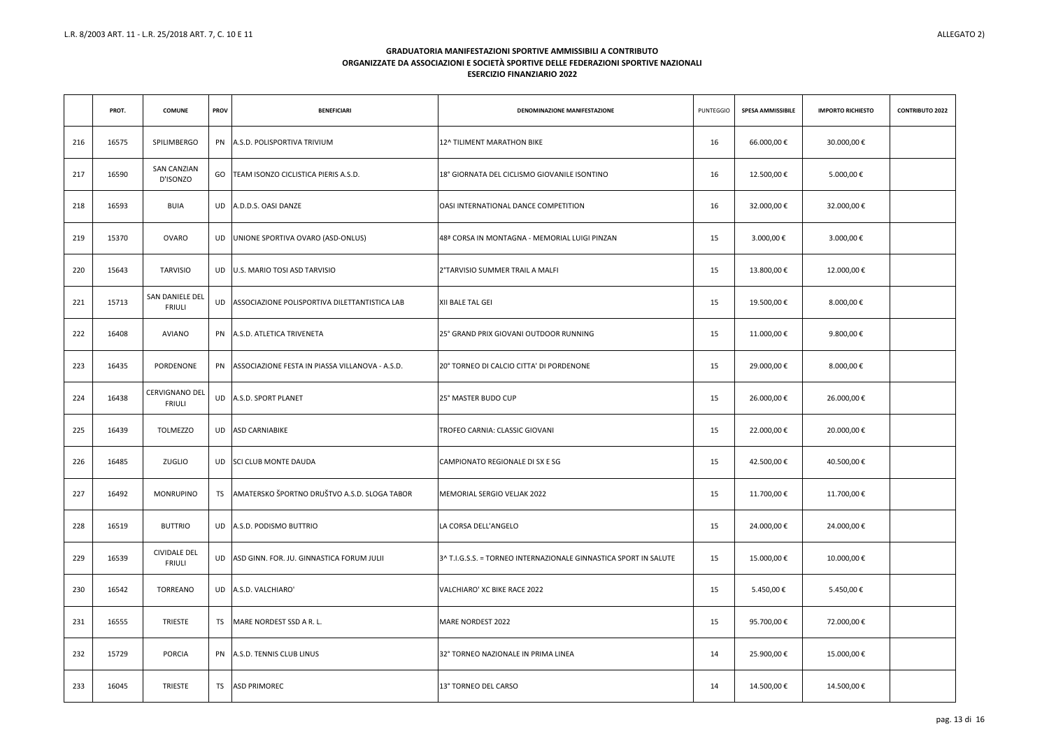|     | PROT. | <b>COMUNE</b>                          | <b>PROV</b> | <b>BENEFICIARI</b>                                 | DENOMINAZIONE MANIFESTAZIONE                                     | <b>PUNTEGGIO</b> | <b>SPESA AMMISSIBILE</b> | <b>IMPORTO RICHIESTO</b> | <b>CONTRIBUTO 2022</b> |
|-----|-------|----------------------------------------|-------------|----------------------------------------------------|------------------------------------------------------------------|------------------|--------------------------|--------------------------|------------------------|
| 216 | 16575 | SPILIMBERGO                            |             | PN A.S.D. POLISPORTIVA TRIVIUM                     | 12^ TILIMENT MARATHON BIKE                                       | 16               | 66.000,00€               | 30.000,00 €              |                        |
| 217 | 16590 | <b>SAN CANZIAN</b><br>D'ISONZO         | GO          | TEAM ISONZO CICLISTICA PIERIS A.S.D.               | 18° GIORNATA DEL CICLISMO GIOVANILE ISONTINO                     | 16               | 12.500,00€               | 5.000,00 €               |                        |
| 218 | 16593 | <b>BUIA</b>                            |             | UD A.D.D.S. OASI DANZE                             | OASI INTERNATIONAL DANCE COMPETITION                             | 16               | 32.000,00 €              | 32.000,00 €              |                        |
| 219 | 15370 | <b>OVARO</b>                           |             | UD UNIONE SPORTIVA OVARO (ASD-ONLUS)               | 48ª CORSA IN MONTAGNA - MEMORIAL LUIGI PINZAN                    | 15               | 3.000,00 €               | 3.000,00 €               |                        |
| 220 | 15643 | TARVISIO                               |             | UD U.S. MARIO TOSI ASD TARVISIO                    | 2°TARVISIO SUMMER TRAIL A MALFI                                  | 15               | 13.800,00€               | 12.000,00€               |                        |
| 221 | 15713 | SAN DANIELE DEL<br><b>FRIULI</b>       |             | UD ASSOCIAZIONE POLISPORTIVA DILETTANTISTICA LAB   | XII BALE TAL GEI                                                 | 15               | 19.500,00€               | 8.000,00 €               |                        |
| 222 | 16408 | AVIANO                                 |             | PN A.S.D. ATLETICA TRIVENETA                       | 25° GRAND PRIX GIOVANI OUTDOOR RUNNING                           | 15               | 11.000,00€               | 9.800,00€                |                        |
| 223 | 16435 | PORDENONE                              |             | PN ASSOCIAZIONE FESTA IN PIASSA VILLANOVA - A.S.D. | 20° TORNEO DI CALCIO CITTA' DI PORDENONE                         | 15               | 29.000,00€               | 8.000,00 €               |                        |
| 224 | 16438 | <b>CERVIGNANO DEL</b><br><b>FRIULI</b> |             | UD A.S.D. SPORT PLANET                             | 25° MASTER BUDO CUP                                              | 15               | 26.000,00€               | 26.000,00€               |                        |
| 225 | 16439 | <b>TOLMEZZO</b>                        |             | UD ASD CARNIABIKE                                  | <b>TROFEO CARNIA: CLASSIC GIOVANI</b>                            | 15               | 22.000,00€               | 20.000,00€               |                        |
| 226 | 16485 | ZUGLIO                                 |             | UD SCI CLUB MONTE DAUDA                            | CAMPIONATO REGIONALE DI SX E SG                                  | 15               | 42.500,00€               | 40.500,00€               |                        |
| 227 | 16492 | <b>MONRUPINO</b>                       |             | TS AMATERSKO ŠPORTNO DRUŠTVO A.S.D. SLOGA TABOR    | MEMORIAL SERGIO VELJAK 2022                                      | 15               | 11.700,00€               | 11.700,00€               |                        |
| 228 | 16519 | <b>BUTTRIO</b>                         |             | UD A.S.D. PODISMO BUTTRIO                          | LA CORSA DELL'ANGELO                                             | 15               | 24.000,00€               | 24.000,00 €              |                        |
| 229 | 16539 | <b>CIVIDALE DEL</b><br><b>FRIULI</b>   |             | UD ASD GINN. FOR. JU. GINNASTICA FORUM JULII       | 3^ T.I.G.S.S. = TORNEO INTERNAZIONALE GINNASTICA SPORT IN SALUTE | 15               | 15.000,00€               | 10.000,00€               |                        |
| 230 | 16542 | TORREANO                               |             | UD A.S.D. VALCHIARO'                               | VALCHIARO' XC BIKE RACE 2022                                     | 15               | 5.450,00 €               | 5.450,00 €               |                        |
| 231 | 16555 | <b>TRIESTE</b>                         | TS          | MARE NORDEST SSD A R. L.                           | MARE NORDEST 2022                                                | 15               | 95.700,00€               | 72.000,00 €              |                        |
| 232 | 15729 | <b>PORCIA</b>                          |             | PN A.S.D. TENNIS CLUB LINUS                        | 32° TORNEO NAZIONALE IN PRIMA LINEA                              | 14               | 25.900,00€               | 15.000,00 €              |                        |
| 233 | 16045 | <b>TRIESTE</b>                         | <b>TS</b>   | <b>ASD PRIMOREC</b>                                | 13° TORNEO DEL CARSO                                             | 14               | 14.500,00€               | 14.500,00€               |                        |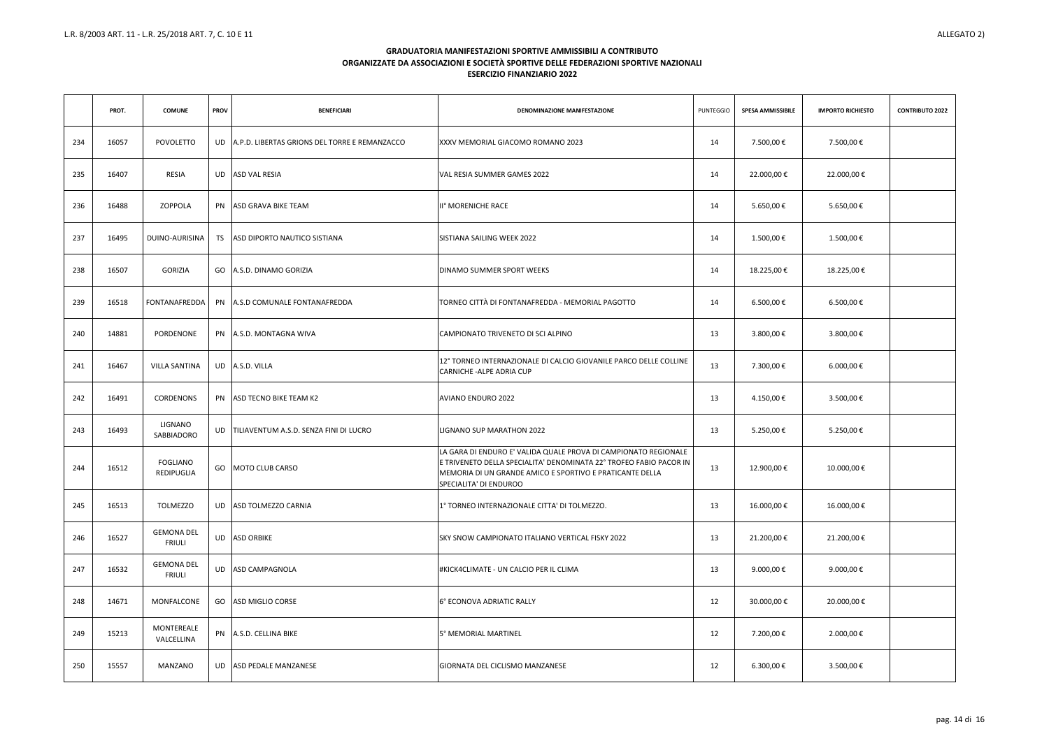|     | PROT. | <b>COMUNE</b>                      | <b>PROV</b> | <b>BENEFICIARI</b>                               | DENOMINAZIONE MANIFESTAZIONE                                                                                                                                                                                                | <b>PUNTEGGIO</b> | <b>SPESA AMMISSIBILE</b> | <b>IMPORTO RICHIESTO</b> | <b>CONTRIBUTO 2022</b> |
|-----|-------|------------------------------------|-------------|--------------------------------------------------|-----------------------------------------------------------------------------------------------------------------------------------------------------------------------------------------------------------------------------|------------------|--------------------------|--------------------------|------------------------|
| 234 | 16057 | POVOLETTO                          |             | UD A.P.D. LIBERTAS GRIONS DEL TORRE E REMANZACCO | XXXV MEMORIAL GIACOMO ROMANO 2023                                                                                                                                                                                           | 14               | 7.500,00 €               | 7.500,00 €               |                        |
| 235 | 16407 | RESIA                              |             | UD ASD VAL RESIA                                 | VAL RESIA SUMMER GAMES 2022                                                                                                                                                                                                 | 14               | 22.000,00€               | 22.000,00€               |                        |
| 236 | 16488 | ZOPPOLA                            |             | PN ASD GRAVA BIKE TEAM                           | II <sup>°</sup> MORENICHE RACE                                                                                                                                                                                              | 14               | 5.650,00 €               | 5.650,00€                |                        |
| 237 | 16495 | DUINO-AURISINA                     | TS          | ASD DIPORTO NAUTICO SISTIANA                     | SISTIANA SAILING WEEK 2022                                                                                                                                                                                                  | 14               | 1.500,00 €               | 1.500,00 €               |                        |
| 238 | 16507 | <b>GORIZIA</b>                     |             | GO A.S.D. DINAMO GORIZIA                         | <b>DINAMO SUMMER SPORT WEEKS</b>                                                                                                                                                                                            | 14               | 18.225,00€               | 18.225,00€               |                        |
| 239 | 16518 | FONTANAFREDDA                      |             | PN A.S.D COMUNALE FONTANAFREDDA                  | TORNEO CITTÀ DI FONTANAFREDDA - MEMORIAL PAGOTTO                                                                                                                                                                            | 14               | 6.500,00 €               | 6.500,00€                |                        |
| 240 | 14881 | PORDENONE                          |             | PN A.S.D. MONTAGNA WIVA                          | CAMPIONATO TRIVENETO DI SCI ALPINO                                                                                                                                                                                          | 13               | 3.800,00 €               | 3.800,00 €               |                        |
| 241 | 16467 | <b>VILLA SANTINA</b>               |             | UD A.S.D. VILLA                                  | 12° TORNEO INTERNAZIONALE DI CALCIO GIOVANILE PARCO DELLE COLLINE<br>CARNICHE-ALPE ADRIA CUP                                                                                                                                | 13               | 7.300,00 €               | 6.000,00 €               |                        |
| 242 | 16491 | CORDENONS                          |             | PN ASD TECNO BIKE TEAM K2                        | <b>AVIANO ENDURO 2022</b>                                                                                                                                                                                                   | 13               | 4.150,00 €               | 3.500,00 €               |                        |
| 243 | 16493 | LIGNANO<br>SABBIADORO              |             | UD   TILIAVENTUM A.S.D. SENZA FINI DI LUCRO      | LIGNANO SUP MARATHON 2022                                                                                                                                                                                                   | 13               | 5.250,00 €               | 5.250,00 €               |                        |
| 244 | 16512 | <b>FOGLIANO</b><br>REDIPUGLIA      |             | GO   MOTO CLUB CARSO                             | LA GARA DI ENDURO E' VALIDA QUALE PROVA DI CAMPIONATO REGIONALE<br>E TRIVENETO DELLA SPECIALITA' DENOMINATA 22° TROFEO FABIO PACOR IN<br>MEMORIA DI UN GRANDE AMICO E SPORTIVO E PRATICANTE DELLA<br>SPECIALITA' DI ENDUROO | 13               | 12.900,00€               | 10.000,00€               |                        |
| 245 | 16513 | TOLMEZZO                           |             | UD ASD TOLMEZZO CARNIA                           | 1º TORNEO INTERNAZIONALE CITTA' DI TOLMEZZO.                                                                                                                                                                                | 13               | 16.000,00 €              | 16.000,00 €              |                        |
| 246 | 16527 | <b>GEMONA DEL</b><br><b>FRIULI</b> |             | UD ASD ORBIKE                                    | <b>SKY SNOW CAMPIONATO ITALIANO VERTICAL FISKY 2022</b>                                                                                                                                                                     | 13               | 21.200,00€               | 21.200,00 €              |                        |
| 247 | 16532 | <b>GEMONA DEL</b><br><b>FRIULI</b> |             | UD ASD CAMPAGNOLA                                | #KICK4CLIMATE - UN CALCIO PER IL CLIMA                                                                                                                                                                                      | 13               | 9.000,00 €               | 9.000,00 €               |                        |
| 248 | 14671 | MONFALCONE                         |             | GO ASD MIGLIO CORSE                              | 6° ECONOVA ADRIATIC RALLY                                                                                                                                                                                                   | 12               | 30.000,00 €              | 20.000,00 €              |                        |
| 249 | 15213 | MONTEREALE<br>VALCELLINA           |             | PN A.S.D. CELLINA BIKE                           | 5° MEMORIAL MARTINEL                                                                                                                                                                                                        | 12               | 7.200,00 €               | 2.000,00 €               |                        |
| 250 | 15557 | MANZANO                            |             | UD ASD PEDALE MANZANESE                          | GIORNATA DEL CICLISMO MANZANESE                                                                                                                                                                                             | 12               | 6.300,00 €               | 3.500,00 €               |                        |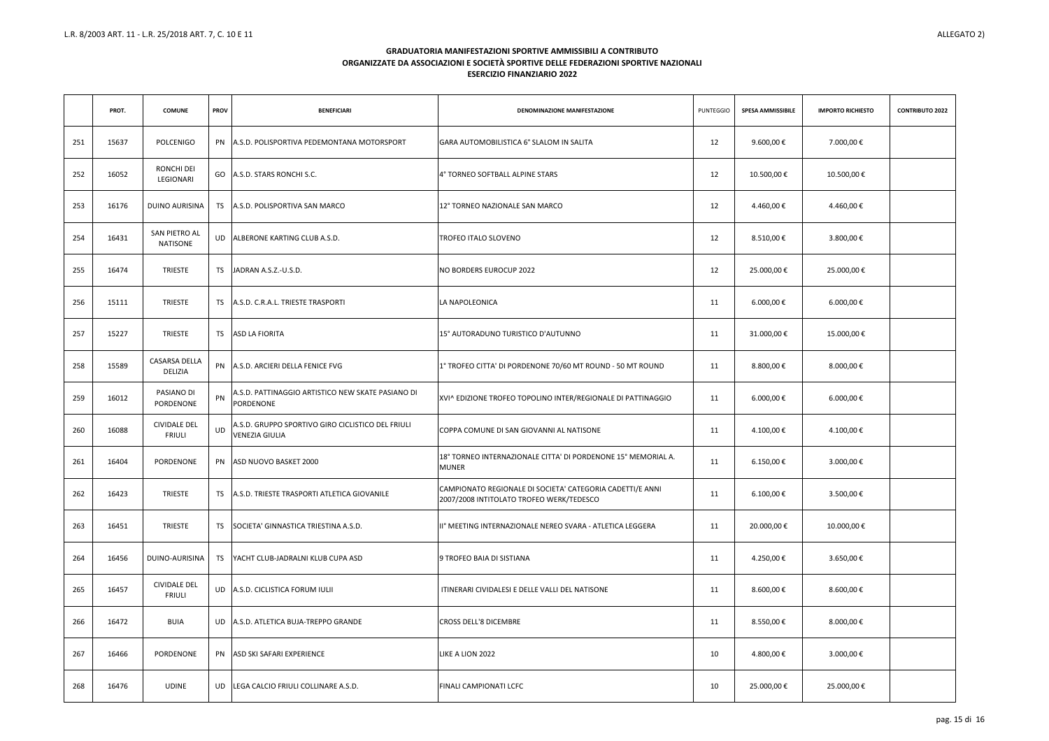|     | PROT. | <b>COMUNE</b>                        | <b>PROV</b> | <b>BENEFICIARI</b>                                                         | DENOMINAZIONE MANIFESTAZIONE                                                                          | <b>PUNTEGGIO</b> | <b>SPESA AMMISSIBILE</b> | <b>IMPORTO RICHIESTO</b> | <b>CONTRIBUTO 2022</b> |
|-----|-------|--------------------------------------|-------------|----------------------------------------------------------------------------|-------------------------------------------------------------------------------------------------------|------------------|--------------------------|--------------------------|------------------------|
| 251 | 15637 | POLCENIGO                            |             | PN A.S.D. POLISPORTIVA PEDEMONTANA MOTORSPORT                              | GARA AUTOMOBILISTICA 6° SLALOM IN SALITA                                                              | 12               | 9.600,00€                | 7.000,00 €               |                        |
| 252 | 16052 | <b>RONCHI DEI</b><br>LEGIONARI       |             | GO A.S.D. STARS RONCHI S.C.                                                | 4° TORNEO SOFTBALL ALPINE STARS                                                                       | 12               | 10.500,00€               | 10.500,00€               |                        |
| 253 | 16176 | DUINO AURISINA                       |             | TS A.S.D. POLISPORTIVA SAN MARCO                                           | 12° TORNEO NAZIONALE SAN MARCO                                                                        | 12               | 4.460,00 €               | 4.460,00 €               |                        |
| 254 | 16431 | SAN PIETRO AL<br>NATISONE            |             | UD ALBERONE KARTING CLUB A.S.D.                                            | <b>TROFEO ITALO SLOVENO</b>                                                                           | 12               | 8.510,00€                | 3.800,00 €               |                        |
| 255 | 16474 | <b>TRIESTE</b>                       | TS          | JADRAN A.S.Z.-U.S.D.                                                       | NO BORDERS EUROCUP 2022                                                                               | 12               | 25.000,00€               | 25.000,00€               |                        |
| 256 | 15111 | TRIESTE                              |             | TS A.S.D. C.R.A.L. TRIESTE TRASPORTI                                       | LA NAPOLEONICA                                                                                        | 11               | 6.000,00 €               | 6.000,00 €               |                        |
| 257 | 15227 | <b>TRIESTE</b>                       |             | TS ASD LA FIORITA                                                          | 15° AUTORADUNO TURISTICO D'AUTUNNO                                                                    | 11               | 31.000,00€               | 15.000,00€               |                        |
| 258 | 15589 | CASARSA DELLA<br>DELIZIA             |             | PN A.S.D. ARCIERI DELLA FENICE FVG                                         | 1° TROFEO CITTA' DI PORDENONE 70/60 MT ROUND - 50 MT ROUND                                            | 11               | 8.800,00€                | 8.000,00 €               |                        |
| 259 | 16012 | PASIANO DI<br>PORDENONE              | PN          | A.S.D. PATTINAGGIO ARTISTICO NEW SKATE PASIANO DI<br><b>PORDENONE</b>      | XVI^ EDIZIONE TROFEO TOPOLINO INTER/REGIONALE DI PATTINAGGIO                                          | 11               | 6.000,00 €               | 6.000,00 €               |                        |
| 260 | 16088 | <b>CIVIDALE DEL</b><br><b>FRIULI</b> | UD          | A.S.D. GRUPPO SPORTIVO GIRO CICLISTICO DEL FRIULI<br><b>VENEZIA GIULIA</b> | COPPA COMUNE DI SAN GIOVANNI AL NATISONE                                                              | 11               | 4.100,00 €               | 4.100,00 €               |                        |
| 261 | 16404 | PORDENONE                            |             | PN ASD NUOVO BASKET 2000                                                   | 18° TORNEO INTERNAZIONALE CITTA' DI PORDENONE 15° MEMORIAL A.<br><b>MUNER</b>                         | 11               | 6.150,00€                | 3.000,00 €               |                        |
| 262 | 16423 | <b>TRIESTE</b>                       |             | TS A.S.D. TRIESTE TRASPORTI ATLETICA GIOVANILE                             | CAMPIONATO REGIONALE DI SOCIETA' CATEGORIA CADETTI/E ANNI<br>2007/2008 INTITOLATO TROFEO WERK/TEDESCO | 11               | $6.100,00 \in$           | 3.500,00 €               |                        |
| 263 | 16451 | <b>TRIESTE</b>                       | TS          | SOCIETA' GINNASTICA TRIESTINA A.S.D.                                       | III° MEETING INTERNAZIONALE NEREO SVARA - ATLETICA LEGGERA                                            | 11               | 20.000,00€               | 10.000,00€               |                        |
| 264 | 16456 | DUINO-AURISINA                       | TS          | YACHT CLUB-JADRALNI KLUB CUPA ASD                                          | 9 TROFEO BAIA DI SISTIANA                                                                             | 11               | 4.250,00 €               | 3.650,00 €               |                        |
| 265 | 16457 | <b>CIVIDALE DEL</b><br><b>FRIULI</b> |             | UD A.S.D. CICLISTICA FORUM IULII                                           | ITINERARI CIVIDALESI E DELLE VALLI DEL NATISONE                                                       | 11               | 8.600,00 €               | 8.600,00 €               |                        |
| 266 | 16472 | <b>BUIA</b>                          |             | UD   A.S.D. ATLETICA BUJA-TREPPO GRANDE                                    | <b>CROSS DELL'8 DICEMBRE</b>                                                                          | 11               | 8.550,00€                | 8.000,00 €               |                        |
| 267 | 16466 | PORDENONE                            |             | PN ASD SKI SAFARI EXPERIENCE                                               | LIKE A LION 2022                                                                                      | 10               | 4.800,00 €               | 3.000,00 €               |                        |
| 268 | 16476 | UDINE                                | UD          | LEGA CALCIO FRIULI COLLINARE A.S.D.                                        | FINALI CAMPIONATI LCFC                                                                                | 10               | 25.000,00€               | 25.000,00€               |                        |